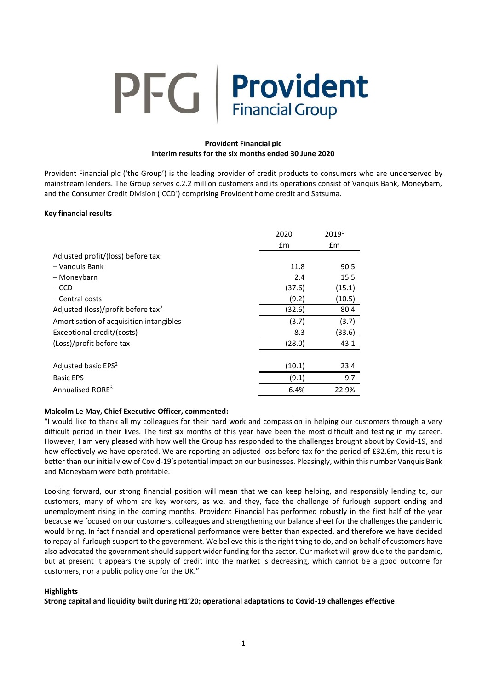# **PFG** | Provident

# **Provident Financial plc Interim results for the six months ended 30 June 2020**

Provident Financial plc ('the Group') is the leading provider of credit products to consumers who are underserved by mainstream lenders. The Group serves c.2.2 million customers and its operations consist of Vanquis Bank, Moneybarn, and the Consumer Credit Division ('CCD') comprising Provident home credit and Satsuma.

# **Key financial results**

|                                                | 2020          | 20191  |
|------------------------------------------------|---------------|--------|
|                                                | $\mathsf{fm}$ | £m     |
| Adjusted profit/(loss) before tax:             |               |        |
| - Vanquis Bank                                 | 11.8          | 90.5   |
| - Moneybarn                                    | 2.4           | 15.5   |
| – CCD                                          | (37.6)        | (15.1) |
| - Central costs                                | (9.2)         | (10.5) |
| Adjusted (loss)/profit before tax <sup>2</sup> | (32.6)        | 80.4   |
| Amortisation of acquisition intangibles        | (3.7)         | (3.7)  |
| Exceptional credit/(costs)                     | 8.3           | (33.6) |
| (Loss)/profit before tax                       | (28.0)        | 43.1   |
|                                                |               |        |
| Adjusted basic EPS <sup>2</sup>                | (10.1)        | 23.4   |
| <b>Basic EPS</b>                               | (9.1)         | 9.7    |
| Annualised RORE <sup>3</sup>                   | 6.4%          | 22.9%  |

# **Malcolm Le May, Chief Executive Officer, commented:**

"I would like to thank all my colleagues for their hard work and compassion in helping our customers through a very difficult period in their lives. The first six months of this year have been the most difficult and testing in my career. However, I am very pleased with how well the Group has responded to the challenges brought about by Covid-19, and how effectively we have operated. We are reporting an adjusted loss before tax for the period of £32.6m, this result is better than our initial view of Covid-19's potential impact on our businesses. Pleasingly, within this number Vanquis Bank and Moneybarn were both profitable.

Looking forward, our strong financial position will mean that we can keep helping, and responsibly lending to, our customers, many of whom are key workers, as we, and they, face the challenge of furlough support ending and unemployment rising in the coming months. Provident Financial has performed robustly in the first half of the year because we focused on our customers, colleagues and strengthening our balance sheet for the challenges the pandemic would bring. In fact financial and operational performance were better than expected, and therefore we have decided to repay all furlough support to the government. We believe this is the right thing to do, and on behalf of customers have also advocated the government should support wider funding for the sector. Our market will grow due to the pandemic, but at present it appears the supply of credit into the market is decreasing, which cannot be a good outcome for customers, nor a public policy one for the UK."

# **Highlights**

**Strong capital and liquidity built during H1'20; operational adaptations to Covid-19 challenges effective**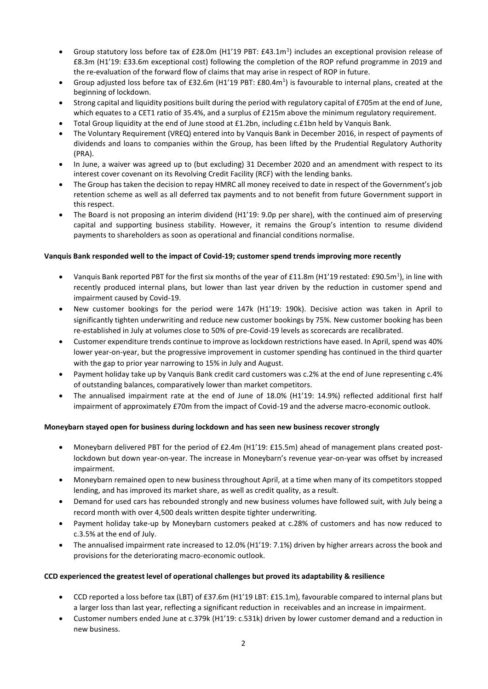- Group statutory loss before tax of £28.0m (H1'19 PBT: £43.1m<sup>1</sup>) includes an exceptional provision release of £8.3m (H1'19: £33.6m exceptional cost) following the completion of the ROP refund programme in 2019 and the re-evaluation of the forward flow of claims that may arise in respect of ROP in future.
- Group adjusted loss before tax of £32.6m (H1'19 PBT: £80.4m<sup>1</sup>) is favourable to internal plans, created at the beginning of lockdown.
- Strong capital and liquidity positions built during the period with regulatory capital of £705m at the end of June, which equates to a CET1 ratio of 35.4%, and a surplus of £215m above the minimum regulatory requirement.
- Total Group liquidity at the end of June stood at £1.2bn, including c.£1bn held by Vanquis Bank.
- The Voluntary Requirement (VREQ) entered into by Vanquis Bank in December 2016, in respect of payments of dividends and loans to companies within the Group, has been lifted by the Prudential Regulatory Authority (PRA).
- In June, a waiver was agreed up to (but excluding) 31 December 2020 and an amendment with respect to its interest cover covenant on its Revolving Credit Facility (RCF) with the lending banks.
- The Group has taken the decision to repay HMRC all money received to date in respect of the Government's job retention scheme as well as all deferred tax payments and to not benefit from future Government support in this respect.
- The Board is not proposing an interim dividend (H1'19: 9.0p per share), with the continued aim of preserving capital and supporting business stability. However, it remains the Group's intention to resume dividend payments to shareholders as soon as operational and financial conditions normalise.

# **Vanquis Bank responded well to the impact of Covid-19; customer spend trends improving more recently**

- Vanquis Bank reported PBT for the first six months of the year of £11.8m (H1'19 restated: £90.5m<sup>1</sup>), in line with recently produced internal plans, but lower than last year driven by the reduction in customer spend and impairment caused by Covid-19.
- New customer bookings for the period were 147k (H1'19: 190k). Decisive action was taken in April to significantly tighten underwriting and reduce new customer bookings by 75%. New customer booking has been re-established in July at volumes close to 50% of pre-Covid-19 levels as scorecards are recalibrated.
- Customer expenditure trends continue to improve as lockdown restrictions have eased. In April, spend was 40% lower year-on-year, but the progressive improvement in customer spending has continued in the third quarter with the gap to prior year narrowing to 15% in July and August.
- Payment holiday take up by Vanquis Bank credit card customers was c.2% at the end of June representing c.4% of outstanding balances, comparatively lower than market competitors.
- The annualised impairment rate at the end of June of 18.0% (H1'19: 14.9%) reflected additional first half impairment of approximately £70m from the impact of Covid-19 and the adverse macro-economic outlook.

# **Moneybarn stayed open for business during lockdown and has seen new business recover strongly**

- Moneybarn delivered PBT for the period of £2.4m (H1'19: £15.5m) ahead of management plans created postlockdown but down year-on-year. The increase in Moneybarn's revenue year-on-year was offset by increased impairment.
- Moneybarn remained open to new business throughout April, at a time when many of its competitors stopped lending, and has improved its market share, as well as credit quality, as a result.
- Demand for used cars has rebounded strongly and new business volumes have followed suit, with July being a record month with over 4,500 deals written despite tighter underwriting.
- Payment holiday take-up by Moneybarn customers peaked at c.28% of customers and has now reduced to c.3.5% at the end of July.
- The annualised impairment rate increased to 12.0% (H1'19: 7.1%) driven by higher arrears across the book and provisions for the deteriorating macro-economic outlook.

# **CCD experienced the greatest level of operational challenges but proved its adaptability & resilience**

- CCD reported a loss before tax (LBT) of £37.6m (H1'19 LBT: £15.1m), favourable compared to internal plans but a larger loss than last year, reflecting a significant reduction in receivables and an increase in impairment.
- Customer numbers ended June at c.379k (H1'19: c.531k) driven by lower customer demand and a reduction in new business.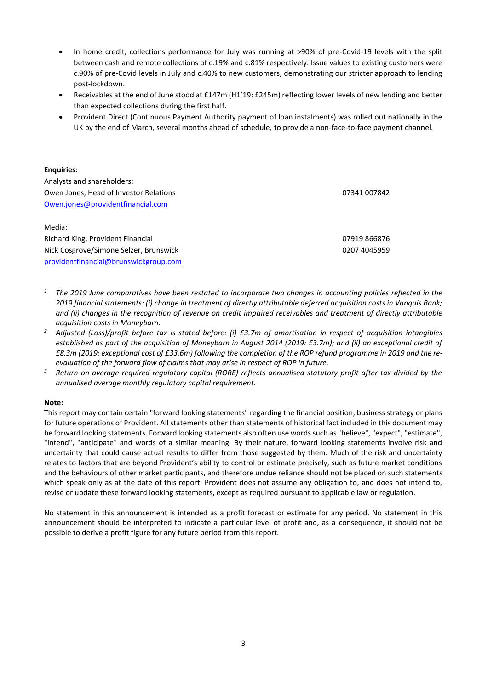- In home credit, collections performance for July was running at >90% of pre-Covid-19 levels with the split between cash and remote collections of c.19% and c.81% respectively. Issue values to existing customers were c.90% of pre-Covid levels in July and c.40% to new customers, demonstrating our stricter approach to lending post-lockdown.
- Receivables at the end of June stood at £147m (H1'19: £245m) reflecting lower levels of new lending and better than expected collections during the first half.
- Provident Direct (Continuous Payment Authority payment of loan instalments) was rolled out nationally in the UK by the end of March, several months ahead of schedule, to provide a non-face-to-face payment channel.

| <b>Enguiries:</b>                      |              |
|----------------------------------------|--------------|
| Analysts and shareholders:             |              |
| Owen Jones, Head of Investor Relations | 07341 007842 |
| Owen.jones@providentfinancial.com      |              |
| Media:                                 |              |
| Richard King, Provident Financial      | 07919 866876 |
| Nick Cosgrove/Simone Selzer, Brunswick | 0207 4045959 |

- *<sup>1</sup> The 2019 June comparatives have been restated to incorporate two changes in accounting policies reflected in the 2019 financial statements: (i) change in treatment of directly attributable deferred acquisition costs in Vanquis Bank; and (ii) changes in the recognition of revenue on credit impaired receivables and treatment of directly attributable acquisition costs in Moneybarn.*
- *<sup>2</sup> Adjusted (Loss)/profit before tax is stated before: (i) £3.7m of amortisation in respect of acquisition intangibles established as part of the acquisition of Moneybarn in August 2014 (2019: £3.7m); and (ii) an exceptional credit of £8.3m (2019: exceptional cost of £33.6m) following the completion of the ROP refund programme in 2019 and the reevaluation of the forward flow of claims that may arise in respect of ROP in future.*
- *<sup>3</sup> Return on average required regulatory capital (RORE) reflects annualised statutory profit after tax divided by the annualised average monthly regulatory capital requirement.*

# **Note:**

[providentfinancial@brunswickgroup.com](mailto:providentfinancial@brunswickgroup.com)

This report may contain certain "forward looking statements" regarding the financial position, business strategy or plans for future operations of Provident. All statements other than statements of historical fact included in this document may be forward looking statements. Forward looking statements also often use words such as "believe", "expect", "estimate", "intend", "anticipate" and words of a similar meaning. By their nature, forward looking statements involve risk and uncertainty that could cause actual results to differ from those suggested by them. Much of the risk and uncertainty relates to factors that are beyond Provident's ability to control or estimate precisely, such as future market conditions and the behaviours of other market participants, and therefore undue reliance should not be placed on such statements which speak only as at the date of this report. Provident does not assume any obligation to, and does not intend to, revise or update these forward looking statements, except as required pursuant to applicable law or regulation.

No statement in this announcement is intended as a profit forecast or estimate for any period. No statement in this announcement should be interpreted to indicate a particular level of profit and, as a consequence, it should not be possible to derive a profit figure for any future period from this report.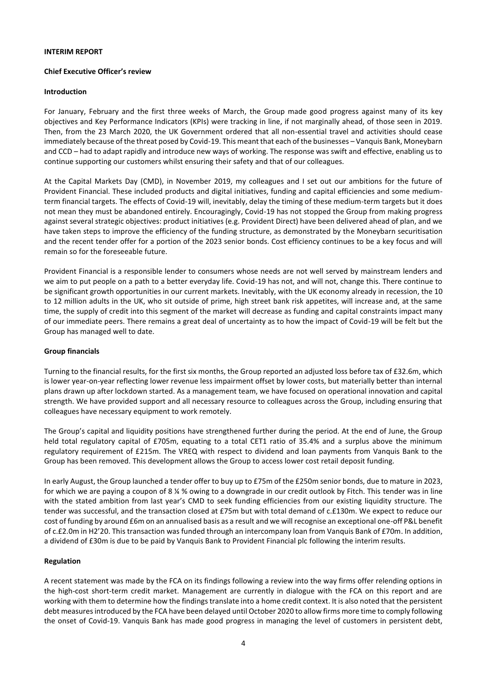#### **INTERIM REPORT**

## **Chief Executive Officer's review**

## **Introduction**

For January, February and the first three weeks of March, the Group made good progress against many of its key objectives and Key Performance Indicators (KPIs) were tracking in line, if not marginally ahead, of those seen in 2019. Then, from the 23 March 2020, the UK Government ordered that all non-essential travel and activities should cease immediately because of the threat posed by Covid-19. This meant that each of the businesses – Vanquis Bank, Moneybarn and CCD – had to adapt rapidly and introduce new ways of working. The response was swift and effective, enabling us to continue supporting our customers whilst ensuring their safety and that of our colleagues.

At the Capital Markets Day (CMD), in November 2019, my colleagues and I set out our ambitions for the future of Provident Financial. These included products and digital initiatives, funding and capital efficiencies and some mediumterm financial targets. The effects of Covid-19 will, inevitably, delay the timing of these medium-term targets but it does not mean they must be abandoned entirely. Encouragingly, Covid-19 has not stopped the Group from making progress against several strategic objectives: product initiatives (e.g. Provident Direct) have been delivered ahead of plan, and we have taken steps to improve the efficiency of the funding structure, as demonstrated by the Moneybarn securitisation and the recent tender offer for a portion of the 2023 senior bonds. Cost efficiency continues to be a key focus and will remain so for the foreseeable future.

Provident Financial is a responsible lender to consumers whose needs are not well served by mainstream lenders and we aim to put people on a path to a better everyday life. Covid-19 has not, and will not, change this. There continue to be significant growth opportunities in our current markets. Inevitably, with the UK economy already in recession, the 10 to 12 million adults in the UK, who sit outside of prime, high street bank risk appetites, will increase and, at the same time, the supply of credit into this segment of the market will decrease as funding and capital constraints impact many of our immediate peers. There remains a great deal of uncertainty as to how the impact of Covid-19 will be felt but the Group has managed well to date.

# **Group financials**

Turning to the financial results, for the first six months, the Group reported an adjusted loss before tax of £32.6m, which is lower year-on-year reflecting lower revenue less impairment offset by lower costs, but materially better than internal plans drawn up after lockdown started. As a management team, we have focused on operational innovation and capital strength. We have provided support and all necessary resource to colleagues across the Group, including ensuring that colleagues have necessary equipment to work remotely.

The Group's capital and liquidity positions have strengthened further during the period. At the end of June, the Group held total regulatory capital of £705m, equating to a total CET1 ratio of 35.4% and a surplus above the minimum regulatory requirement of £215m. The VREQ with respect to dividend and loan payments from Vanquis Bank to the Group has been removed. This development allows the Group to access lower cost retail deposit funding.

In early August, the Group launched a tender offer to buy up to £75m of the £250m senior bonds, due to mature in 2023, for which we are paying a coupon of 8 ¼ % owing to a downgrade in our credit outlook by Fitch. This tender was in line with the stated ambition from last year's CMD to seek funding efficiencies from our existing liquidity structure. The tender was successful, and the transaction closed at £75m but with total demand of c.£130m. We expect to reduce our cost of funding by around £6m on an annualised basis as a result and we will recognise an exceptional one-off P&L benefit of c.£2.0m in H2'20. This transaction was funded through an intercompany loan from Vanquis Bank of £70m. In addition, a dividend of £30m is due to be paid by Vanquis Bank to Provident Financial plc following the interim results.

# **Regulation**

A recent statement was made by the FCA on its findings following a review into the way firms offer relending options in the high-cost short-term credit market. Management are currently in dialogue with the FCA on this report and are working with them to determine how the findings translate into a home credit context. It is also noted that the persistent debt measures introduced by the FCA have been delayed until October 2020 to allow firms more time to comply following the onset of Covid-19. Vanquis Bank has made good progress in managing the level of customers in persistent debt,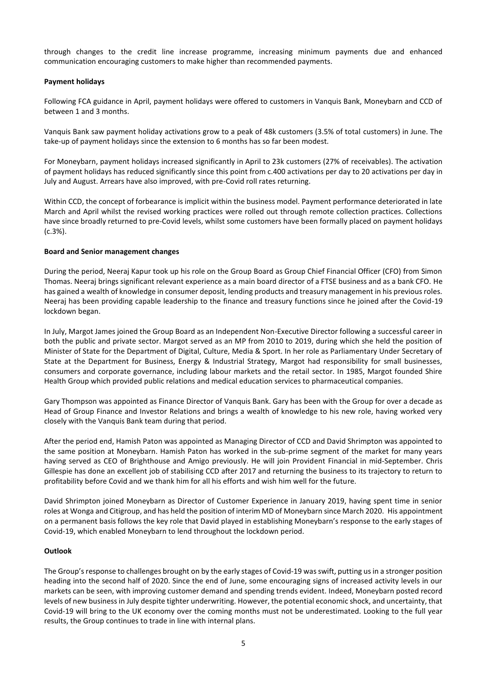through changes to the credit line increase programme, increasing minimum payments due and enhanced communication encouraging customers to make higher than recommended payments.

# **Payment holidays**

Following FCA guidance in April, payment holidays were offered to customers in Vanquis Bank, Moneybarn and CCD of between 1 and 3 months.

Vanquis Bank saw payment holiday activations grow to a peak of 48k customers (3.5% of total customers) in June. The take-up of payment holidays since the extension to 6 months has so far been modest.

For Moneybarn, payment holidays increased significantly in April to 23k customers (27% of receivables). The activation of payment holidays has reduced significantly since this point from c.400 activations per day to 20 activations per day in July and August. Arrears have also improved, with pre-Covid roll rates returning.

Within CCD, the concept of forbearance is implicit within the business model. Payment performance deteriorated in late March and April whilst the revised working practices were rolled out through remote collection practices. Collections have since broadly returned to pre-Covid levels, whilst some customers have been formally placed on payment holidays (c.3%).

# **Board and Senior management changes**

During the period, Neeraj Kapur took up his role on the Group Board as Group Chief Financial Officer (CFO) from Simon Thomas. Neeraj brings significant relevant experience as a main board director of a FTSE business and as a bank CFO. He has gained a wealth of knowledge in consumer deposit, lending products and treasury management in his previous roles. Neeraj has been providing capable leadership to the finance and treasury functions since he joined after the Covid-19 lockdown began.

In July, Margot James joined the Group Board as an Independent Non-Executive Director following a successful career in both the public and private sector. Margot served as an MP from 2010 to 2019, during which she held the position of Minister of State for the Department of Digital, Culture, Media & Sport. In her role as Parliamentary Under Secretary of State at the Department for Business, Energy & Industrial Strategy, Margot had responsibility for small businesses, consumers and corporate governance, including labour markets and the retail sector. In 1985, Margot founded Shire Health Group which provided public relations and medical education services to pharmaceutical companies.

Gary Thompson was appointed as Finance Director of Vanquis Bank. Gary has been with the Group for over a decade as Head of Group Finance and Investor Relations and brings a wealth of knowledge to his new role, having worked very closely with the Vanquis Bank team during that period.

After the period end, Hamish Paton was appointed as Managing Director of CCD and David Shrimpton was appointed to the same position at Moneybarn. Hamish Paton has worked in the sub-prime segment of the market for many years having served as CEO of Brighthouse and Amigo previously. He will join Provident Financial in mid-September. Chris Gillespie has done an excellent job of stabilising CCD after 2017 and returning the business to its trajectory to return to profitability before Covid and we thank him for all his efforts and wish him well for the future.

David Shrimpton joined Moneybarn as Director of Customer Experience in January 2019, having spent time in senior roles at Wonga and Citigroup, and has held the position of interim MD of Moneybarn since March 2020. His appointment on a permanent basis follows the key role that David played in establishing Moneybarn's response to the early stages of Covid-19, which enabled Moneybarn to lend throughout the lockdown period.

# **Outlook**

The Group's response to challenges brought on by the early stages of Covid-19 was swift, putting us in a stronger position heading into the second half of 2020. Since the end of June, some encouraging signs of increased activity levels in our markets can be seen, with improving customer demand and spending trends evident. Indeed, Moneybarn posted record levels of new business in July despite tighter underwriting. However, the potential economic shock, and uncertainty, that Covid-19 will bring to the UK economy over the coming months must not be underestimated. Looking to the full year results, the Group continues to trade in line with internal plans.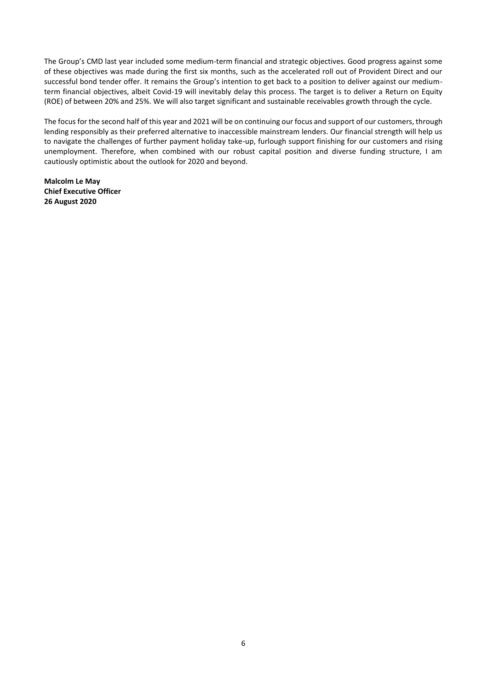The Group's CMD last year included some medium-term financial and strategic objectives. Good progress against some of these objectives was made during the first six months, such as the accelerated roll out of Provident Direct and our successful bond tender offer. It remains the Group's intention to get back to a position to deliver against our mediumterm financial objectives, albeit Covid-19 will inevitably delay this process. The target is to deliver a Return on Equity (ROE) of between 20% and 25%. We will also target significant and sustainable receivables growth through the cycle.

The focus for the second half of this year and 2021 will be on continuing our focus and support of our customers, through lending responsibly as their preferred alternative to inaccessible mainstream lenders. Our financial strength will help us to navigate the challenges of further payment holiday take-up, furlough support finishing for our customers and rising unemployment. Therefore, when combined with our robust capital position and diverse funding structure, I am cautiously optimistic about the outlook for 2020 and beyond.

**Malcolm Le May Chief Executive Officer 26 August 2020**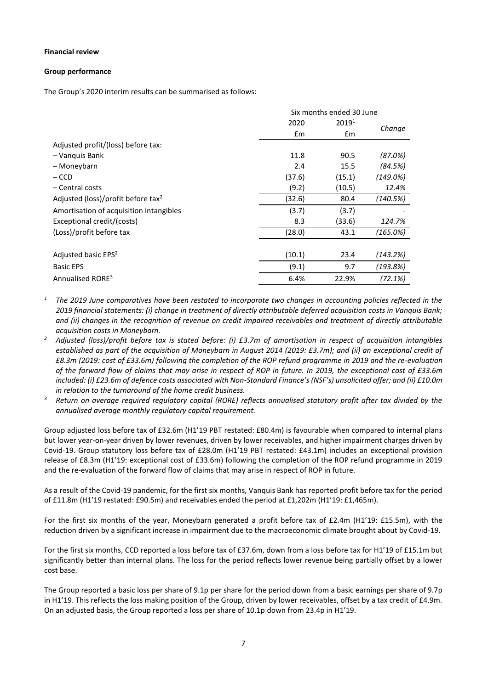## **Financial review**

## **Group performance**

The Group's 2020 interim results can be summarised as follows:

|                                                | Six months ended 30 June |                   |             |
|------------------------------------------------|--------------------------|-------------------|-------------|
|                                                | 2020                     | 2019 <sup>1</sup> | Change      |
|                                                | $\mathsf{fm}$            | $\mathsf{fm}$     |             |
| Adjusted profit/(loss) before tax:             |                          |                   |             |
| - Vanquis Bank                                 | 11.8                     | 90.5              | (87.0%)     |
| – Moneybarn                                    | 2.4                      | 15.5              | (84.5%)     |
| $-$ CCD                                        | (37.6)                   | (15.1)            | $(149.0\%)$ |
| - Central costs                                | (9.2)                    | (10.5)            | 12.4%       |
| Adjusted (loss)/profit before tax <sup>2</sup> | (32.6)                   | 80.4              | (140.5%)    |
| Amortisation of acquisition intangibles        | (3.7)                    | (3.7)             |             |
| Exceptional credit/(costs)                     | 8.3                      | (33.6)            | 124.7%      |
| (Loss)/profit before tax                       | (28.0)                   | 43.1              | (165.0%)    |
|                                                |                          |                   |             |
| Adjusted basic EPS <sup>2</sup>                | (10.1)                   | 23.4              | (143.2%)    |
| <b>Basic EPS</b>                               | (9.1)                    | 9.7               | (193.8%)    |
| Annualised RORE <sup>3</sup>                   | 6.4%                     | 22.9%             | (72.1%)     |

*<sup>1</sup> The 2019 June comparatives have been restated to incorporate two changes in accounting policies reflected in the 2019 financial statements: (i) change in treatment of directly attributable deferred acquisition costs in Vanquis Bank; and (ii) changes in the recognition of revenue on credit impaired receivables and treatment of directly attributable acquisition costs in Moneybarn.*

- *<sup>2</sup> Adjusted (loss)/profit before tax is stated before: (i) £3.7m of amortisation in respect of acquisition intangibles established as part of the acquisition of Moneybarn in August 2014 (2019: £3.7m); and (ii) an exceptional credit of £8.3m (2019: cost of £33.6m) following the completion of the ROP refund programme in 2019 and the re-evaluation of the forward flow of claims that may arise in respect of ROP in future. In 2019, the exceptional cost of £33.6m included: (i) £23.6m of defence costs associated with Non-Standard Finance's (NSF's) unsolicited offer; and (ii) £10.0m in relation to the turnaround of the home credit business.*
- *<sup>3</sup> Return on average required regulatory capital (RORE) reflects annualised statutory profit after tax divided by the annualised average monthly regulatory capital requirement.*

Group adjusted loss before tax of £32.6m (H1'19 PBT restated: £80.4m) is favourable when compared to internal plans but lower year-on-year driven by lower revenues, driven by lower receivables, and higher impairment charges driven by Covid-19. Group statutory loss before tax of £28.0m (H1'19 PBT restated: £43.1m) includes an exceptional provision release of £8.3m (H1'19: exceptional cost of £33.6m) following the completion of the ROP refund programme in 2019 and the re-evaluation of the forward flow of claims that may arise in respect of ROP in future.

As a result of the Covid-19 pandemic, for the first six months, Vanquis Bank has reported profit before tax for the period of £11.8m (H1'19 restated: £90.5m) and receivables ended the period at £1,202m (H1'19: £1,465m).

For the first six months of the year, Moneybarn generated a profit before tax of £2.4m (H1'19: £15.5m), with the reduction driven by a significant increase in impairment due to the macroeconomic climate brought about by Covid-19.

For the first six months, CCD reported a loss before tax of £37.6m, down from a loss before tax for H1'19 of £15.1m but significantly better than internal plans. The loss for the period reflects lower revenue being partially offset by a lower cost base.

The Group reported a basic loss per share of 9.1p per share for the period down from a basic earnings per share of 9.7p in H1'19. This reflects the loss making position of the Group, driven by lower receivables, offset by a tax credit of £4.9m. On an adjusted basis, the Group reported a loss per share of 10.1p down from 23.4p in H1'19.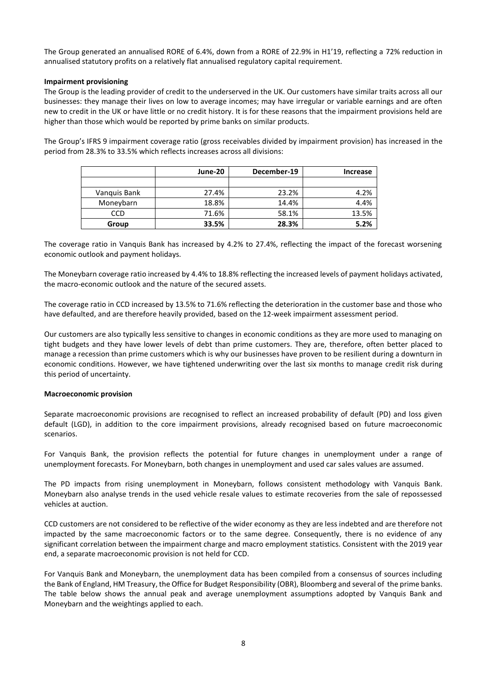The Group generated an annualised RORE of 6.4%, down from a RORE of 22.9% in H1'19, reflecting a 72% reduction in annualised statutory profits on a relatively flat annualised regulatory capital requirement.

# **Impairment provisioning**

The Group is the leading provider of credit to the underserved in the UK. Our customers have similar traits across all our businesses: they manage their lives on low to average incomes; may have irregular or variable earnings and are often new to credit in the UK or have little or no credit history. It is for these reasons that the impairment provisions held are higher than those which would be reported by prime banks on similar products.

The Group's IFRS 9 impairment coverage ratio (gross receivables divided by impairment provision) has increased in the period from 28.3% to 33.5% which reflects increases across all divisions:

|              | June-20 | December-19 | Increase |
|--------------|---------|-------------|----------|
|              |         |             |          |
| Vanquis Bank | 27.4%   | 23.2%       | 4.2%     |
| Moneybarn    | 18.8%   | 14.4%       | 4.4%     |
| CCD          | 71.6%   | 58.1%       | 13.5%    |
| Group        | 33.5%   | 28.3%       | 5.2%     |

The coverage ratio in Vanquis Bank has increased by 4.2% to 27.4%, reflecting the impact of the forecast worsening economic outlook and payment holidays.

The Moneybarn coverage ratio increased by 4.4% to 18.8% reflecting the increased levels of payment holidays activated, the macro-economic outlook and the nature of the secured assets.

The coverage ratio in CCD increased by 13.5% to 71.6% reflecting the deterioration in the customer base and those who have defaulted, and are therefore heavily provided, based on the 12-week impairment assessment period.

Our customers are also typically less sensitive to changes in economic conditions as they are more used to managing on tight budgets and they have lower levels of debt than prime customers. They are, therefore, often better placed to manage a recession than prime customers which is why our businesses have proven to be resilient during a downturn in economic conditions. However, we have tightened underwriting over the last six months to manage credit risk during this period of uncertainty.

#### **Macroeconomic provision**

Separate macroeconomic provisions are recognised to reflect an increased probability of default (PD) and loss given default (LGD), in addition to the core impairment provisions, already recognised based on future macroeconomic scenarios.

For Vanquis Bank, the provision reflects the potential for future changes in unemployment under a range of unemployment forecasts. For Moneybarn, both changes in unemployment and used car sales values are assumed.

The PD impacts from rising unemployment in Moneybarn, follows consistent methodology with Vanquis Bank. Moneybarn also analyse trends in the used vehicle resale values to estimate recoveries from the sale of repossessed vehicles at auction.

CCD customers are not considered to be reflective of the wider economy as they are less indebted and are therefore not impacted by the same macroeconomic factors or to the same degree. Consequently, there is no evidence of any significant correlation between the impairment charge and macro employment statistics. Consistent with the 2019 year end, a separate macroeconomic provision is not held for CCD.

For Vanquis Bank and Moneybarn, the unemployment data has been compiled from a consensus of sources including the Bank of England, HM Treasury, the Office for Budget Responsibility (OBR), Bloomberg and several of the prime banks. The table below shows the annual peak and average unemployment assumptions adopted by Vanquis Bank and Moneybarn and the weightings applied to each.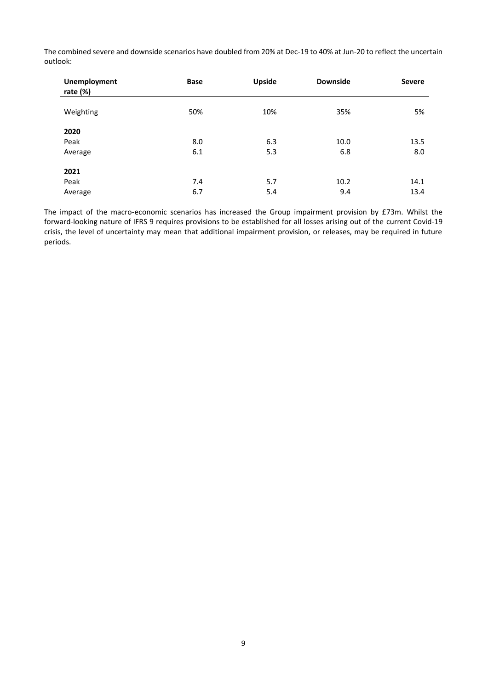The combined severe and downside scenarios have doubled from 20% at Dec-19 to 40% at Jun-20 to reflect the uncertain outlook:

| <b>Unemployment</b><br>rate $(\%)$ | <b>Base</b> | Upside | <b>Downside</b> | <b>Severe</b> |
|------------------------------------|-------------|--------|-----------------|---------------|
| Weighting                          | 50%         | 10%    | 35%             | 5%            |
| 2020                               |             |        |                 |               |
| Peak                               | 8.0         | 6.3    | 10.0            | 13.5          |
| Average                            | 6.1         | 5.3    | 6.8             | 8.0           |
| 2021                               |             |        |                 |               |
| Peak                               | 7.4         | 5.7    | 10.2            | 14.1          |
| Average                            | 6.7         | 5.4    | 9.4             | 13.4          |

The impact of the macro-economic scenarios has increased the Group impairment provision by £73m. Whilst the forward-looking nature of IFRS 9 requires provisions to be established for all losses arising out of the current Covid-19 crisis, the level of uncertainty may mean that additional impairment provision, or releases, may be required in future periods.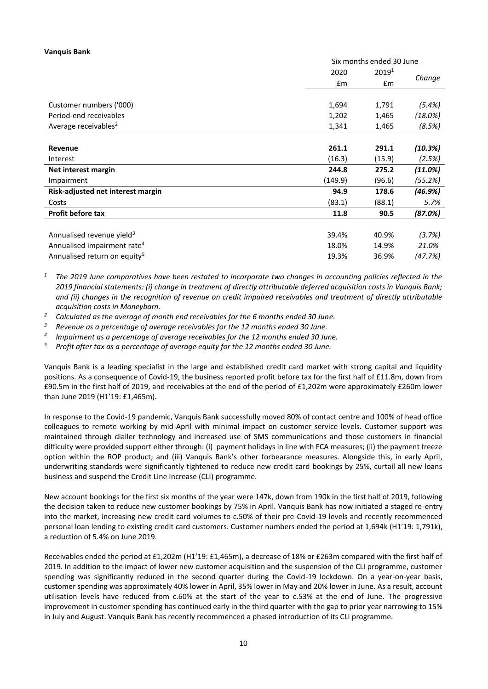## **Vanquis Bank**

|                                          |         | Six months ended 30 June |         |  |  |
|------------------------------------------|---------|--------------------------|---------|--|--|
|                                          | 2020    | $2019^{1}$               |         |  |  |
|                                          | £m      | £m                       | Change  |  |  |
|                                          |         |                          |         |  |  |
| Customer numbers ('000)                  | 1,694   | 1,791                    | (5.4%)  |  |  |
| Period-end receivables                   | 1,202   | 1,465                    | (18.0%) |  |  |
| Average receivables <sup>2</sup>         | 1,341   | 1,465                    | (8.5%)  |  |  |
|                                          |         |                          |         |  |  |
| Revenue                                  | 261.1   | 291.1                    | (10.3%) |  |  |
| Interest                                 | (16.3)  | (15.9)                   | (2.5%)  |  |  |
| Net interest margin                      | 244.8   | 275.2                    | (11.0%) |  |  |
| Impairment                               | (149.9) | (96.6)                   | (55.2%) |  |  |
| Risk-adjusted net interest margin        | 94.9    | 178.6                    | (46.9%) |  |  |
| Costs                                    | (83.1)  | (88.1)                   | 5.7%    |  |  |
| <b>Profit before tax</b>                 | 11.8    | 90.5                     | (87.0%) |  |  |
|                                          |         |                          |         |  |  |
| Annualised revenue yield <sup>3</sup>    | 39.4%   | 40.9%                    | (3.7%)  |  |  |
| Annualised impairment rate <sup>4</sup>  | 18.0%   | 14.9%                    | 21.0%   |  |  |
| Annualised return on equity <sup>5</sup> | 19.3%   | 36.9%                    | (47.7%) |  |  |

*<sup>1</sup> The 2019 June comparatives have been restated to incorporate two changes in accounting policies reflected in the 2019 financial statements: (i) change in treatment of directly attributable deferred acquisition costs in Vanquis Bank; and (ii) changes in the recognition of revenue on credit impaired receivables and treatment of directly attributable acquisition costs in Moneybarn.*

- *<sup>2</sup> Calculated as the average of month end receivables for the 6 months ended 30 June.*
- *<sup>3</sup> Revenue as a percentage of average receivables for the 12 months ended 30 June.*
- *4 Impairment as a percentage of average receivables for the 12 months ended 30 June.*
- *<sup>5</sup> Profit after tax as a percentage of average equity for the 12 months ended 30 June.*

Vanquis Bank is a leading specialist in the large and established credit card market with strong capital and liquidity positions. As a consequence of Covid-19, the business reported profit before tax for the first half of £11.8m, down from £90.5m in the first half of 2019, and receivables at the end of the period of £1,202m were approximately £260m lower than June 2019 (H1'19: £1,465m).

In response to the Covid-19 pandemic, Vanquis Bank successfully moved 80% of contact centre and 100% of head office colleagues to remote working by mid-April with minimal impact on customer service levels. Customer support was maintained through dialler technology and increased use of SMS communications and those customers in financial difficulty were provided support either through: (i) payment holidays in line with FCA measures; (ii) the payment freeze option within the ROP product; and (iii) Vanquis Bank's other forbearance measures. Alongside this, in early April, underwriting standards were significantly tightened to reduce new credit card bookings by 25%, curtail all new loans business and suspend the Credit Line Increase (CLI) programme.

New account bookings for the first six months of the year were 147k, down from 190k in the first half of 2019, following the decision taken to reduce new customer bookings by 75% in April. Vanquis Bank has now initiated a staged re-entry into the market, increasing new credit card volumes to c.50% of their pre-Covid-19 levels and recently recommenced personal loan lending to existing credit card customers. Customer numbers ended the period at 1,694k (H1'19: 1,791k), a reduction of 5.4% on June 2019.

Receivables ended the period at £1,202m (H1'19: £1,465m), a decrease of 18% or £263m compared with the first half of 2019. In addition to the impact of lower new customer acquisition and the suspension of the CLI programme, customer spending was significantly reduced in the second quarter during the Covid-19 lockdown. On a year-on-year basis, customer spending was approximately 40% lower in April, 35% lower in May and 20% lower in June. As a result, account utilisation levels have reduced from c.60% at the start of the year to c.53% at the end of June. The progressive improvement in customer spending has continued early in the third quarter with the gap to prior year narrowing to 15% in July and August. Vanquis Bank has recently recommenced a phased introduction of its CLI programme.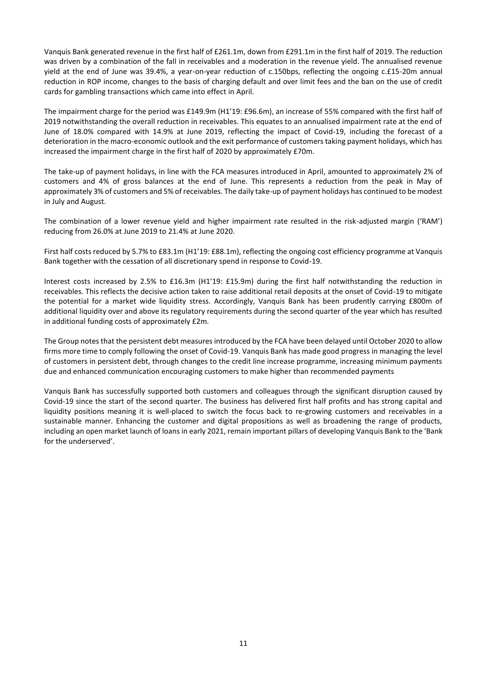Vanquis Bank generated revenue in the first half of £261.1m, down from £291.1m in the first half of 2019. The reduction was driven by a combination of the fall in receivables and a moderation in the revenue yield. The annualised revenue yield at the end of June was 39.4%, a year-on-year reduction of c.150bps, reflecting the ongoing c.£15-20m annual reduction in ROP income, changes to the basis of charging default and over limit fees and the ban on the use of credit cards for gambling transactions which came into effect in April.

The impairment charge for the period was £149.9m (H1'19: £96.6m), an increase of 55% compared with the first half of 2019 notwithstanding the overall reduction in receivables. This equates to an annualised impairment rate at the end of June of 18.0% compared with 14.9% at June 2019, reflecting the impact of Covid-19, including the forecast of a deterioration in the macro-economic outlook and the exit performance of customers taking payment holidays, which has increased the impairment charge in the first half of 2020 by approximately £70m.

The take-up of payment holidays, in line with the FCA measures introduced in April, amounted to approximately 2% of customers and 4% of gross balances at the end of June. This represents a reduction from the peak in May of approximately 3% of customers and 5% of receivables. The daily take-up of payment holidays has continued to be modest in July and August.

The combination of a lower revenue yield and higher impairment rate resulted in the risk-adjusted margin ('RAM') reducing from 26.0% at June 2019 to 21.4% at June 2020.

First half costs reduced by 5.7% to £83.1m (H1'19: £88.1m), reflecting the ongoing cost efficiency programme at Vanquis Bank together with the cessation of all discretionary spend in response to Covid-19.

Interest costs increased by 2.5% to £16.3m (H1'19: £15.9m) during the first half notwithstanding the reduction in receivables. This reflects the decisive action taken to raise additional retail deposits at the onset of Covid-19 to mitigate the potential for a market wide liquidity stress. Accordingly, Vanquis Bank has been prudently carrying £800m of additional liquidity over and above its regulatory requirements during the second quarter of the year which has resulted in additional funding costs of approximately £2m.

The Group notes that the persistent debt measures introduced by the FCA have been delayed until October 2020 to allow firms more time to comply following the onset of Covid-19. Vanquis Bank has made good progress in managing the level of customers in persistent debt, through changes to the credit line increase programme, increasing minimum payments due and enhanced communication encouraging customers to make higher than recommended payments

Vanquis Bank has successfully supported both customers and colleagues through the significant disruption caused by Covid-19 since the start of the second quarter. The business has delivered first half profits and has strong capital and liquidity positions meaning it is well-placed to switch the focus back to re-growing customers and receivables in a sustainable manner. Enhancing the customer and digital propositions as well as broadening the range of products, including an open market launch of loans in early 2021, remain important pillars of developing Vanquis Bank to the 'Bank for the underserved'.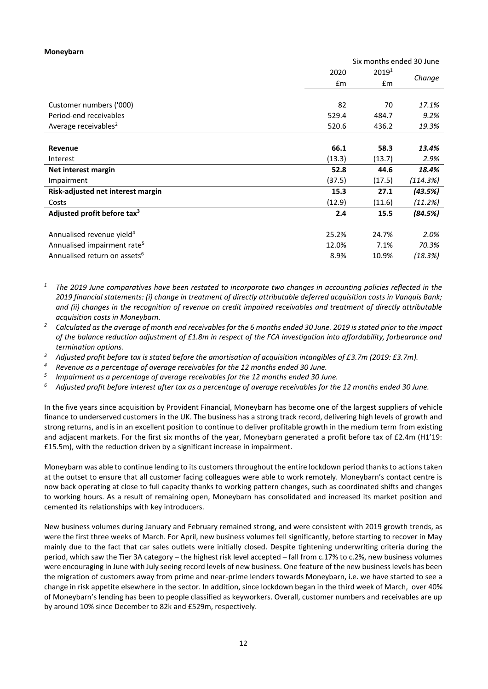#### **Moneybarn**

|                                          | Six months ended 30 June |                   |          |
|------------------------------------------|--------------------------|-------------------|----------|
|                                          | 2020                     | 2019 <sup>1</sup> |          |
|                                          | $\mathsf{fm}$            | £m                | Change   |
|                                          |                          |                   |          |
| Customer numbers ('000)                  | 82                       | 70                | 17.1%    |
| Period-end receivables                   | 529.4                    | 484.7             | 9.2%     |
| Average receivables <sup>2</sup>         | 520.6                    | 436.2             | 19.3%    |
|                                          |                          |                   |          |
| Revenue                                  | 66.1                     | 58.3              | 13.4%    |
| Interest                                 | (13.3)                   | (13.7)            | 2.9%     |
| Net interest margin                      | 52.8                     | 44.6              | 18.4%    |
| Impairment                               | (37.5)                   | (17.5)            | (114.3%) |
| Risk-adjusted net interest margin        | 15.3                     | 27.1              | (43.5%)  |
| Costs                                    | (12.9)                   | (11.6)            | (11.2%)  |
| Adjusted profit before tax <sup>3</sup>  | 2.4                      | 15.5              | (84.5%)  |
|                                          |                          |                   |          |
| Annualised revenue yield <sup>4</sup>    | 25.2%                    | 24.7%             | 2.0%     |
| Annualised impairment rate <sup>5</sup>  | 12.0%                    | 7.1%              | 70.3%    |
| Annualised return on assets <sup>6</sup> | 8.9%                     | 10.9%             | (18.3%)  |

- *<sup>1</sup> The 2019 June comparatives have been restated to incorporate two changes in accounting policies reflected in the 2019 financial statements: (i) change in treatment of directly attributable deferred acquisition costs in Vanquis Bank; and (ii) changes in the recognition of revenue on credit impaired receivables and treatment of directly attributable acquisition costs in Moneybarn.*
- *<sup>2</sup> Calculated as the average of month end receivables for the 6 months ended 30 June. 2019 is stated prior to the impact of the balance reduction adjustment of £1.8m in respect of the FCA investigation into affordability, forbearance and termination options.*
- <sup>3</sup> Adjusted profit before tax is stated before the amortisation of acquisition intangibles of £3.7m (2019: £3.7m).
- *<sup>4</sup> Revenue as a percentage of average receivables for the 12 months ended 30 June.*
- *5 Impairment as a percentage of average receivables for the 12 months ended 30 June.*
- *<sup>6</sup> Adjusted profit before interest after tax as a percentage of average receivables for the 12 months ended 30 June.*

In the five years since acquisition by Provident Financial, Moneybarn has become one of the largest suppliers of vehicle finance to underserved customers in the UK. The business has a strong track record, delivering high levels of growth and strong returns, and is in an excellent position to continue to deliver profitable growth in the medium term from existing and adjacent markets. For the first six months of the year, Moneybarn generated a profit before tax of £2.4m (H1'19: £15.5m), with the reduction driven by a significant increase in impairment.

Moneybarn was able to continue lending to its customers throughout the entire lockdown period thanks to actions taken at the outset to ensure that all customer facing colleagues were able to work remotely. Moneybarn's contact centre is now back operating at close to full capacity thanks to working pattern changes, such as coordinated shifts and changes to working hours. As a result of remaining open, Moneybarn has consolidated and increased its market position and cemented its relationships with key introducers.

New business volumes during January and February remained strong, and were consistent with 2019 growth trends, as were the first three weeks of March. For April, new business volumes fell significantly, before starting to recover in May mainly due to the fact that car sales outlets were initially closed. Despite tightening underwriting criteria during the period, which saw the Tier 3A category – the highest risk level accepted – fall from c.17% to c.2%, new business volumes were encouraging in June with July seeing record levels of new business. One feature of the new business levels has been the migration of customers away from prime and near-prime lenders towards Moneybarn, i.e. we have started to see a change in risk appetite elsewhere in the sector. In addition, since lockdown began in the third week of March, over 40% of Moneybarn's lending has been to people classified as keyworkers. Overall, customer numbers and receivables are up by around 10% since December to 82k and £529m, respectively.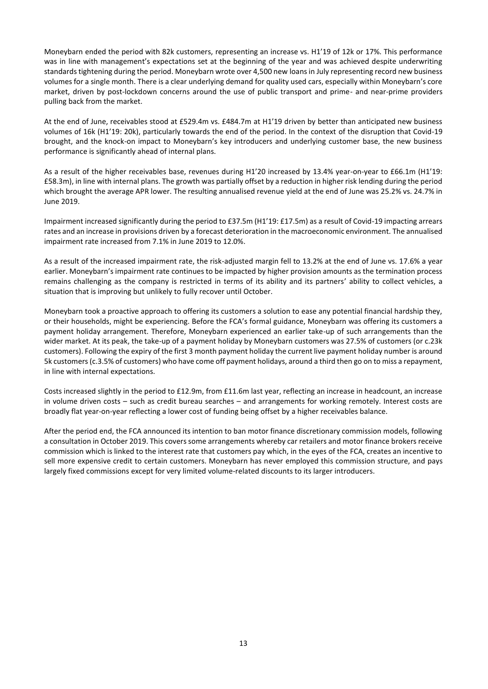Moneybarn ended the period with 82k customers, representing an increase vs. H1'19 of 12k or 17%. This performance was in line with management's expectations set at the beginning of the year and was achieved despite underwriting standards tightening during the period. Moneybarn wrote over 4,500 new loansin July representing record new business volumes for a single month. There is a clear underlying demand for quality used cars, especially within Moneybarn's core market, driven by post-lockdown concerns around the use of public transport and prime- and near-prime providers pulling back from the market.

At the end of June, receivables stood at £529.4m vs. £484.7m at H1'19 driven by better than anticipated new business volumes of 16k (H1'19: 20k), particularly towards the end of the period. In the context of the disruption that Covid-19 brought, and the knock-on impact to Moneybarn's key introducers and underlying customer base, the new business performance is significantly ahead of internal plans.

As a result of the higher receivables base, revenues during H1'20 increased by 13.4% year-on-year to £66.1m (H1'19: £58.3m), in line with internal plans. The growth was partially offset by a reduction in higher risk lending during the period which brought the average APR lower. The resulting annualised revenue yield at the end of June was 25.2% vs. 24.7% in June 2019.

Impairment increased significantly during the period to £37.5m (H1'19: £17.5m) as a result of Covid-19 impacting arrears rates and an increase in provisions driven by a forecast deterioration in the macroeconomic environment. The annualised impairment rate increased from 7.1% in June 2019 to 12.0%.

As a result of the increased impairment rate, the risk-adjusted margin fell to 13.2% at the end of June vs. 17.6% a year earlier. Moneybarn's impairment rate continues to be impacted by higher provision amounts as the termination process remains challenging as the company is restricted in terms of its ability and its partners' ability to collect vehicles, a situation that is improving but unlikely to fully recover until October.

Moneybarn took a proactive approach to offering its customers a solution to ease any potential financial hardship they, or their households, might be experiencing. Before the FCA's formal guidance, Moneybarn was offering its customers a payment holiday arrangement. Therefore, Moneybarn experienced an earlier take-up of such arrangements than the wider market. At its peak, the take-up of a payment holiday by Moneybarn customers was 27.5% of customers (or c.23k customers). Following the expiry of the first 3 month payment holiday the current live payment holiday number is around 5k customers(c.3.5% of customers) who have come off payment holidays, around a third then go on to miss a repayment, in line with internal expectations.

Costs increased slightly in the period to £12.9m, from £11.6m last year, reflecting an increase in headcount, an increase in volume driven costs – such as credit bureau searches – and arrangements for working remotely. Interest costs are broadly flat year-on-year reflecting a lower cost of funding being offset by a higher receivables balance.

After the period end, the FCA announced its intention to ban motor finance discretionary commission models, following a consultation in October 2019. This covers some arrangements whereby car retailers and motor finance brokers receive commission which is linked to the interest rate that customers pay which, in the eyes of the FCA, creates an incentive to sell more expensive credit to certain customers. Moneybarn has never employed this commission structure, and pays largely fixed commissions except for very limited volume-related discounts to its larger introducers.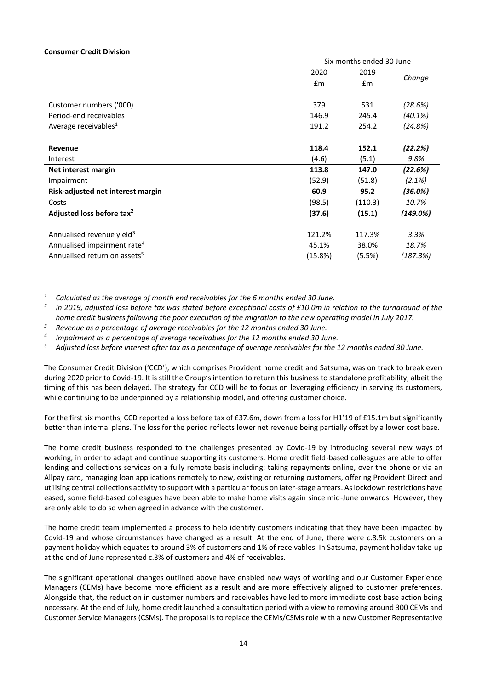## **Consumer Credit Division**

|                                          |         | Six months ended 30 June |           |  |
|------------------------------------------|---------|--------------------------|-----------|--|
|                                          | 2020    | 2019                     |           |  |
|                                          | £m      | £m                       | Change    |  |
|                                          |         |                          |           |  |
| Customer numbers ('000)                  | 379     | 531                      | (28.6%)   |  |
| Period-end receivables                   | 146.9   | 245.4                    | (40.1%)   |  |
| Average receivables <sup>1</sup>         | 191.2   | 254.2                    | (24.8%)   |  |
|                                          |         |                          |           |  |
| Revenue                                  | 118.4   | 152.1                    | (22.2%)   |  |
| Interest                                 | (4.6)   | (5.1)                    | 9.8%      |  |
| Net interest margin                      | 113.8   | 147.0                    | (22.6%)   |  |
| Impairment                               | (52.9)  | (51.8)                   | $(2.1\%)$ |  |
| Risk-adjusted net interest margin        | 60.9    | 95.2                     | (36.0%)   |  |
| Costs                                    | (98.5)  | (110.3)                  | 10.7%     |  |
| Adjusted loss before tax <sup>2</sup>    | (37.6)  | (15.1)                   | (149.0%)  |  |
|                                          |         |                          |           |  |
| Annualised revenue yield <sup>3</sup>    | 121.2%  | 117.3%                   | 3.3%      |  |
| Annualised impairment rate <sup>4</sup>  | 45.1%   | 38.0%                    | 18.7%     |  |
| Annualised return on assets <sup>5</sup> | (15.8%) | (5.5%)                   | (187.3%)  |  |

*<sup>1</sup> Calculated as the average of month end receivables for the 6 months ended 30 June.*

*2 In 2019, adjusted loss before tax was stated before exceptional costs of £10.0m in relation to the turnaround of the home credit business following the poor execution of the migration to the new operating model in July 2017.*

*<sup>3</sup> Revenue as a percentage of average receivables for the 12 months ended 30 June.*

*4 Impairment as a percentage of average receivables for the 12 months ended 30 June.*

*<sup>5</sup> Adjusted loss before interest after tax as a percentage of average receivables for the 12 months ended 30 June.*

The Consumer Credit Division ('CCD'), which comprises Provident home credit and Satsuma, was on track to break even during 2020 prior to Covid-19. It is still the Group's intention to return this business to standalone profitability, albeit the timing of this has been delayed. The strategy for CCD will be to focus on leveraging efficiency in serving its customers, while continuing to be underpinned by a relationship model, and offering customer choice.

For the first six months, CCD reported a loss before tax of £37.6m, down from a loss for H1'19 of £15.1m but significantly better than internal plans. The loss for the period reflects lower net revenue being partially offset by a lower cost base.

The home credit business responded to the challenges presented by Covid-19 by introducing several new ways of working, in order to adapt and continue supporting its customers. Home credit field-based colleagues are able to offer lending and collections services on a fully remote basis including: taking repayments online, over the phone or via an Allpay card, managing loan applications remotely to new, existing or returning customers, offering Provident Direct and utilising central collections activity to support with a particular focus on later-stage arrears. As lockdown restrictions have eased, some field-based colleagues have been able to make home visits again since mid-June onwards. However, they are only able to do so when agreed in advance with the customer.

The home credit team implemented a process to help identify customers indicating that they have been impacted by Covid-19 and whose circumstances have changed as a result. At the end of June, there were c.8.5k customers on a payment holiday which equates to around 3% of customers and 1% of receivables. In Satsuma, payment holiday take-up at the end of June represented c.3% of customers and 4% of receivables.

The significant operational changes outlined above have enabled new ways of working and our Customer Experience Managers (CEMs) have become more efficient as a result and are more effectively aligned to customer preferences. Alongside that, the reduction in customer numbers and receivables have led to more immediate cost base action being necessary. At the end of July, home credit launched a consultation period with a view to removing around 300 CEMs and Customer Service Managers (CSMs). The proposal is to replace the CEMs/CSMs role with a new Customer Representative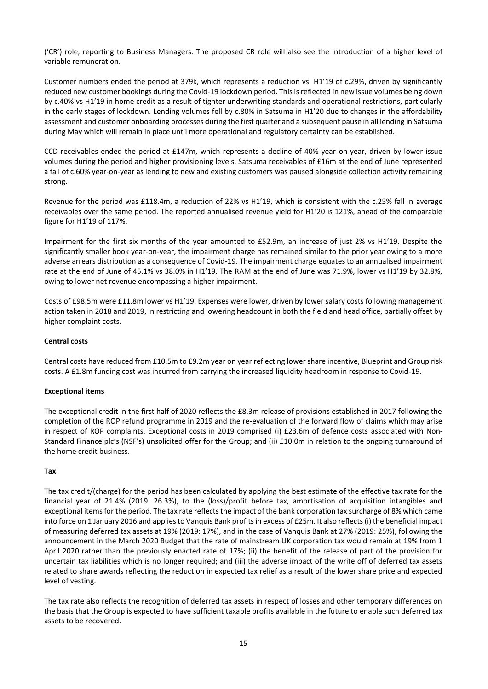('CR') role, reporting to Business Managers. The proposed CR role will also see the introduction of a higher level of variable remuneration.

Customer numbers ended the period at 379k, which represents a reduction vs H1'19 of c.29%, driven by significantly reduced new customer bookings during the Covid-19 lockdown period. This is reflected in new issue volumes being down by c.40% vs H1'19 in home credit as a result of tighter underwriting standards and operational restrictions, particularly in the early stages of lockdown. Lending volumes fell by c.80% in Satsuma in H1'20 due to changes in the affordability assessment and customer onboarding processes during the first quarter and a subsequent pause in all lending in Satsuma during May which will remain in place until more operational and regulatory certainty can be established.

CCD receivables ended the period at £147m, which represents a decline of 40% year-on-year, driven by lower issue volumes during the period and higher provisioning levels. Satsuma receivables of £16m at the end of June represented a fall of c.60% year-on-year as lending to new and existing customers was paused alongside collection activity remaining strong.

Revenue for the period was £118.4m, a reduction of 22% vs H1'19, which is consistent with the c.25% fall in average receivables over the same period. The reported annualised revenue yield for H1'20 is 121%, ahead of the comparable figure for H1'19 of 117%.

Impairment for the first six months of the year amounted to £52.9m, an increase of just 2% vs H1'19. Despite the significantly smaller book year-on-year, the impairment charge has remained similar to the prior year owing to a more adverse arrears distribution as a consequence of Covid-19. The impairment charge equates to an annualised impairment rate at the end of June of 45.1% vs 38.0% in H1'19. The RAM at the end of June was 71.9%, lower vs H1'19 by 32.8%, owing to lower net revenue encompassing a higher impairment.

Costs of £98.5m were £11.8m lower vs H1'19. Expenses were lower, driven by lower salary costs following management action taken in 2018 and 2019, in restricting and lowering headcount in both the field and head office, partially offset by higher complaint costs.

# **Central costs**

Central costs have reduced from £10.5m to £9.2m year on year reflecting lower share incentive, Blueprint and Group risk costs. A £1.8m funding cost was incurred from carrying the increased liquidity headroom in response to Covid-19.

# **Exceptional items**

The exceptional credit in the first half of 2020 reflects the £8.3m release of provisions established in 2017 following the completion of the ROP refund programme in 2019 and the re-evaluation of the forward flow of claims which may arise in respect of ROP complaints. Exceptional costs in 2019 comprised (i) £23.6m of defence costs associated with Non-Standard Finance plc's (NSF's) unsolicited offer for the Group; and (ii) £10.0m in relation to the ongoing turnaround of the home credit business.

# **Tax**

The tax credit/(charge) for the period has been calculated by applying the best estimate of the effective tax rate for the financial year of 21.4% (2019: 26.3%), to the (loss)/profit before tax, amortisation of acquisition intangibles and exceptional items for the period. The tax rate reflects the impact of the bank corporation tax surcharge of 8% which came into force on 1 January 2016 and applies to Vanquis Bank profits in excess of £25m. It also reflects (i) the beneficial impact of measuring deferred tax assets at 19% (2019: 17%), and in the case of Vanquis Bank at 27% (2019: 25%), following the announcement in the March 2020 Budget that the rate of mainstream UK corporation tax would remain at 19% from 1 April 2020 rather than the previously enacted rate of 17%; (ii) the benefit of the release of part of the provision for uncertain tax liabilities which is no longer required; and (iii) the adverse impact of the write off of deferred tax assets related to share awards reflecting the reduction in expected tax relief as a result of the lower share price and expected level of vesting.

The tax rate also reflects the recognition of deferred tax assets in respect of losses and other temporary differences on the basis that the Group is expected to have sufficient taxable profits available in the future to enable such deferred tax assets to be recovered.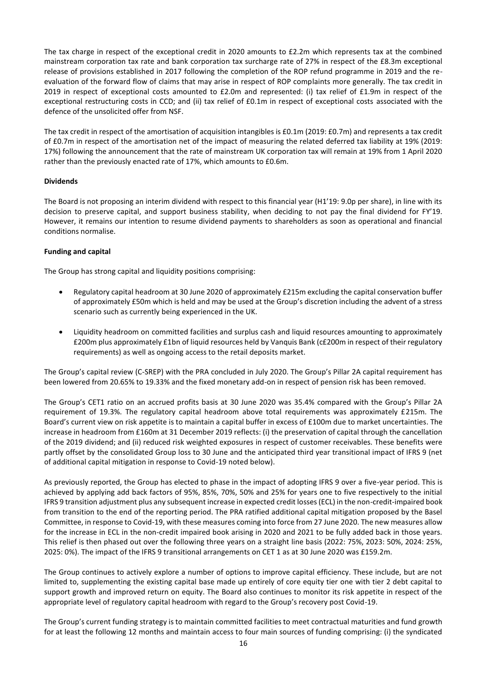The tax charge in respect of the exceptional credit in 2020 amounts to £2.2m which represents tax at the combined mainstream corporation tax rate and bank corporation tax surcharge rate of 27% in respect of the £8.3m exceptional release of provisions established in 2017 following the completion of the ROP refund programme in 2019 and the reevaluation of the forward flow of claims that may arise in respect of ROP complaints more generally. The tax credit in 2019 in respect of exceptional costs amounted to £2.0m and represented: (i) tax relief of £1.9m in respect of the exceptional restructuring costs in CCD; and (ii) tax relief of £0.1m in respect of exceptional costs associated with the defence of the unsolicited offer from NSF.

The tax credit in respect of the amortisation of acquisition intangibles is £0.1m (2019: £0.7m) and represents a tax credit of £0.7m in respect of the amortisation net of the impact of measuring the related deferred tax liability at 19% (2019: 17%) following the announcement that the rate of mainstream UK corporation tax will remain at 19% from 1 April 2020 rather than the previously enacted rate of 17%, which amounts to £0.6m.

# **Dividends**

The Board is not proposing an interim dividend with respect to this financial year (H1'19: 9.0p per share), in line with its decision to preserve capital, and support business stability, when deciding to not pay the final dividend for FY'19. However, it remains our intention to resume dividend payments to shareholders as soon as operational and financial conditions normalise.

## **Funding and capital**

The Group has strong capital and liquidity positions comprising:

- Regulatory capital headroom at 30 June 2020 of approximately £215m excluding the capital conservation buffer of approximately £50m which is held and may be used at the Group's discretion including the advent of a stress scenario such as currently being experienced in the UK.
- Liquidity headroom on committed facilities and surplus cash and liquid resources amounting to approximately £200m plus approximately £1bn of liquid resources held by Vanquis Bank (c£200m in respect of their regulatory requirements) as well as ongoing access to the retail deposits market.

The Group's capital review (C-SREP) with the PRA concluded in July 2020. The Group's Pillar 2A capital requirement has been lowered from 20.65% to 19.33% and the fixed monetary add-on in respect of pension risk has been removed.

The Group's CET1 ratio on an accrued profits basis at 30 June 2020 was 35.4% compared with the Group's Pillar 2A requirement of 19.3%. The regulatory capital headroom above total requirements was approximately £215m. The Board's current view on risk appetite is to maintain a capital buffer in excess of £100m due to market uncertainties. The increase in headroom from £160m at 31 December 2019 reflects: (i) the preservation of capital through the cancellation of the 2019 dividend; and (ii) reduced risk weighted exposures in respect of customer receivables. These benefits were partly offset by the consolidated Group loss to 30 June and the anticipated third year transitional impact of IFRS 9 (net of additional capital mitigation in response to Covid-19 noted below).

As previously reported, the Group has elected to phase in the impact of adopting IFRS 9 over a five-year period. This is achieved by applying add back factors of 95%, 85%, 70%, 50% and 25% for years one to five respectively to the initial IFRS 9 transition adjustment plus any subsequent increase in expected credit losses (ECL) in the non-credit-impaired book from transition to the end of the reporting period. The PRA ratified additional capital mitigation proposed by the Basel Committee, in response to Covid-19, with these measures coming into force from 27 June 2020. The new measures allow for the increase in ECL in the non-credit impaired book arising in 2020 and 2021 to be fully added back in those years. This relief is then phased out over the following three years on a straight line basis (2022: 75%, 2023: 50%, 2024: 25%, 2025: 0%). The impact of the IFRS 9 transitional arrangements on CET 1 as at 30 June 2020 was £159.2m.

The Group continues to actively explore a number of options to improve capital efficiency. These include, but are not limited to, supplementing the existing capital base made up entirely of core equity tier one with tier 2 debt capital to support growth and improved return on equity. The Board also continues to monitor its risk appetite in respect of the appropriate level of regulatory capital headroom with regard to the Group's recovery post Covid-19.

The Group's current funding strategy is to maintain committed facilities to meet contractual maturities and fund growth for at least the following 12 months and maintain access to four main sources of funding comprising: (i) the syndicated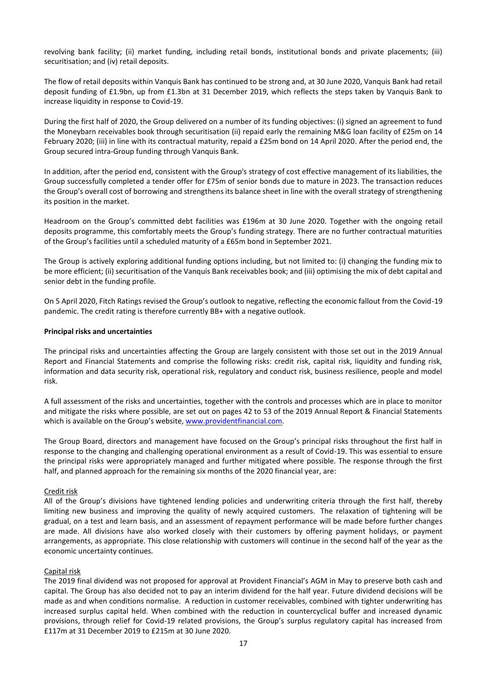revolving bank facility; (ii) market funding, including retail bonds, institutional bonds and private placements; (iii) securitisation; and (iv) retail deposits.

The flow of retail deposits within Vanquis Bank has continued to be strong and, at 30 June 2020, Vanquis Bank had retail deposit funding of £1.9bn, up from £1.3bn at 31 December 2019, which reflects the steps taken by Vanquis Bank to increase liquidity in response to Covid-19.

During the first half of 2020, the Group delivered on a number of its funding objectives: (i) signed an agreement to fund the Moneybarn receivables book through securitisation (ii) repaid early the remaining M&G loan facility of £25m on 14 February 2020; (iii) in line with its contractual maturity, repaid a £25m bond on 14 April 2020. After the period end, the Group secured intra-Group funding through Vanquis Bank.

In addition, after the period end, consistent with the Group's strategy of cost effective management of its liabilities, the Group successfully completed a tender offer for £75m of senior bonds due to mature in 2023. The transaction reduces the Group's overall cost of borrowing and strengthens its balance sheet in line with the overall strategy of strengthening its position in the market.

Headroom on the Group's committed debt facilities was £196m at 30 June 2020. Together with the ongoing retail deposits programme, this comfortably meets the Group's funding strategy. There are no further contractual maturities of the Group's facilities until a scheduled maturity of a £65m bond in September 2021.

The Group is actively exploring additional funding options including, but not limited to: (i) changing the funding mix to be more efficient; (ii) securitisation of the Vanquis Bank receivables book; and (iii) optimising the mix of debt capital and senior debt in the funding profile.

On 5 April 2020, Fitch Ratings revised the Group's outlook to negative, reflecting the economic fallout from the Covid-19 pandemic. The credit rating is therefore currently BB+ with a negative outlook.

## **Principal risks and uncertainties**

The principal risks and uncertainties affecting the Group are largely consistent with those set out in the 2019 Annual Report and Financial Statements and comprise the following risks: credit risk, capital risk, liquidity and funding risk, information and data security risk, operational risk, regulatory and conduct risk, business resilience, people and model risk.

A full assessment of the risks and uncertainties, together with the controls and processes which are in place to monitor and mitigate the risks where possible, are set out on pages 42 to 53 of the 2019 Annual Report & Financial Statements which is available on the Group's website, [www.providentfinancial.com.](http://www.providentfinancial.com/) 

The Group Board, directors and management have focused on the Group's principal risks throughout the first half in response to the changing and challenging operational environment as a result of Covid-19. This was essential to ensure the principal risks were appropriately managed and further mitigated where possible. The response through the first half, and planned approach for the remaining six months of the 2020 financial year, are:

#### Credit risk

All of the Group's divisions have tightened lending policies and underwriting criteria through the first half, thereby limiting new business and improving the quality of newly acquired customers. The relaxation of tightening will be gradual, on a test and learn basis, and an assessment of repayment performance will be made before further changes are made. All divisions have also worked closely with their customers by offering payment holidays, or payment arrangements, as appropriate. This close relationship with customers will continue in the second half of the year as the economic uncertainty continues.

#### Capital risk

The 2019 final dividend was not proposed for approval at Provident Financial's AGM in May to preserve both cash and capital. The Group has also decided not to pay an interim dividend for the half year. Future dividend decisions will be made as and when conditions normalise. A reduction in customer receivables, combined with tighter underwriting has increased surplus capital held. When combined with the reduction in countercyclical buffer and increased dynamic provisions, through relief for Covid-19 related provisions, the Group's surplus regulatory capital has increased from £117m at 31 December 2019 to £215m at 30 June 2020.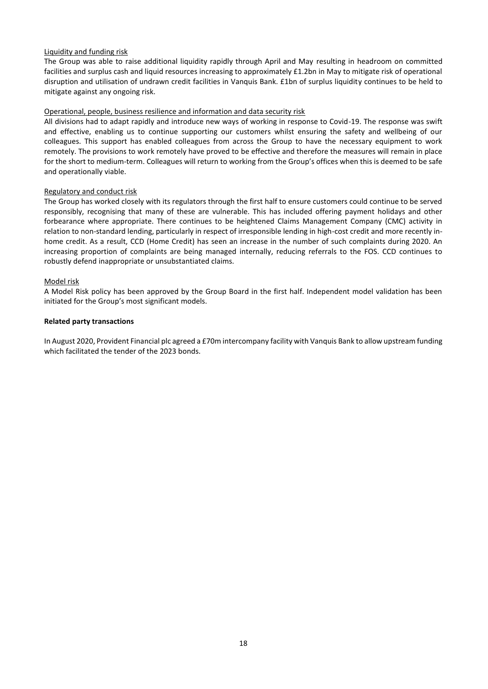# Liquidity and funding risk

The Group was able to raise additional liquidity rapidly through April and May resulting in headroom on committed facilities and surplus cash and liquid resources increasing to approximately £1.2bn in May to mitigate risk of operational disruption and utilisation of undrawn credit facilities in Vanquis Bank. £1bn of surplus liquidity continues to be held to mitigate against any ongoing risk.

# Operational, people, business resilience and information and data security risk

All divisions had to adapt rapidly and introduce new ways of working in response to Covid-19. The response was swift and effective, enabling us to continue supporting our customers whilst ensuring the safety and wellbeing of our colleagues. This support has enabled colleagues from across the Group to have the necessary equipment to work remotely. The provisions to work remotely have proved to be effective and therefore the measures will remain in place for the short to medium-term. Colleagues will return to working from the Group's offices when this is deemed to be safe and operationally viable.

# Regulatory and conduct risk

The Group has worked closely with its regulators through the first half to ensure customers could continue to be served responsibly, recognising that many of these are vulnerable. This has included offering payment holidays and other forbearance where appropriate. There continues to be heightened Claims Management Company (CMC) activity in relation to non-standard lending, particularly in respect of irresponsible lending in high-cost credit and more recently inhome credit. As a result, CCD (Home Credit) has seen an increase in the number of such complaints during 2020. An increasing proportion of complaints are being managed internally, reducing referrals to the FOS. CCD continues to robustly defend inappropriate or unsubstantiated claims.

# Model risk

A Model Risk policy has been approved by the Group Board in the first half. Independent model validation has been initiated for the Group's most significant models.

## **Related party transactions**

In August 2020, Provident Financial plc agreed a £70m intercompany facility with Vanquis Bank to allow upstream funding which facilitated the tender of the 2023 bonds.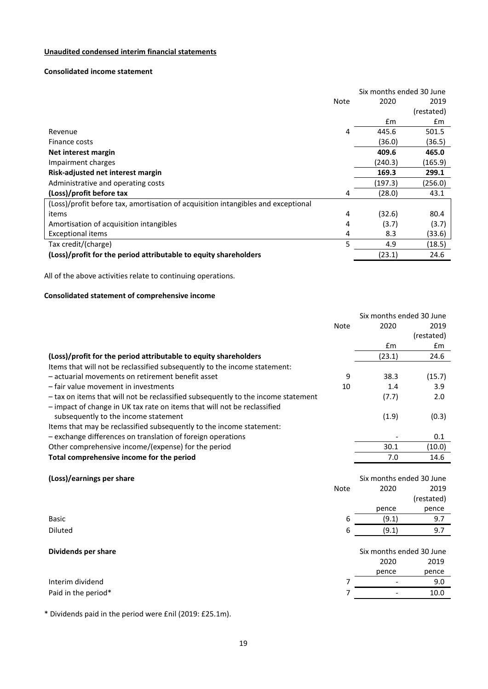# **Unaudited condensed interim financial statements**

# **Consolidated income statement**

|                                                                                   | Six months ended 30 June |         |            |
|-----------------------------------------------------------------------------------|--------------------------|---------|------------|
|                                                                                   | <b>Note</b>              | 2020    | 2019       |
|                                                                                   |                          |         | (restated) |
|                                                                                   |                          | £m      | £m         |
| Revenue                                                                           | 4                        | 445.6   | 501.5      |
| Finance costs                                                                     |                          | (36.0)  | (36.5)     |
| Net interest margin                                                               |                          | 409.6   | 465.0      |
| Impairment charges                                                                |                          | (240.3) | (165.9)    |
| Risk-adjusted net interest margin                                                 |                          | 169.3   | 299.1      |
| Administrative and operating costs                                                |                          | (197.3) | (256.0)    |
| (Loss)/profit before tax                                                          | 4                        | (28.0)  | 43.1       |
| (Loss)/profit before tax, amortisation of acquisition intangibles and exceptional |                          |         |            |
| items                                                                             | 4                        | (32.6)  | 80.4       |
| Amortisation of acquisition intangibles                                           | 4                        | (3.7)   | (3.7)      |
| Exceptional items                                                                 | 4                        | 8.3     | (33.6)     |
| Tax credit/(charge)                                                               | 5                        | 4.9     | (18.5)     |
| (Loss)/profit for the period attributable to equity shareholders                  |                          | (23.1)  | 24.6       |

All of the above activities relate to continuing operations.

# **Consolidated statement of comprehensive income**

|                                                                                   |             | Six months ended 30 June |            |
|-----------------------------------------------------------------------------------|-------------|--------------------------|------------|
|                                                                                   | <b>Note</b> | 2020                     | 2019       |
|                                                                                   |             |                          | (restated) |
|                                                                                   |             | £m                       | £m         |
| (Loss)/profit for the period attributable to equity shareholders                  |             | (23.1)                   | 24.6       |
| Items that will not be reclassified subsequently to the income statement:         |             |                          |            |
| - actuarial movements on retirement benefit asset                                 | 9           | 38.3                     | (15.7)     |
| - fair value movement in investments                                              | 10          | 1.4                      | 3.9        |
| - tax on items that will not be reclassified subsequently to the income statement |             | (7.7)                    | 2.0        |
| - impact of change in UK tax rate on items that will not be reclassified          |             |                          |            |
| subsequently to the income statement                                              |             | (1.9)                    | (0.3)      |
| Items that may be reclassified subsequently to the income statement:              |             |                          |            |
| - exchange differences on translation of foreign operations                       |             |                          | 0.1        |
| Other comprehensive income/(expense) for the period                               |             | 30.1                     | (10.0)     |
| Total comprehensive income for the period                                         |             | 7.0                      | 14.6       |
|                                                                                   |             |                          |            |
| (Loss)/earnings per share                                                         |             | Six months ended 30 June |            |
|                                                                                   | <b>Note</b> | 2020                     | 2019       |
|                                                                                   |             |                          | (restated) |
|                                                                                   |             | pence                    | pence      |
| <b>Basic</b>                                                                      | 6           | (9.1)                    | 9.7        |
| Diluted                                                                           | 6           | (9.1)                    | 9.7        |
|                                                                                   |             |                          |            |
| Dividends per share                                                               |             | Six months ended 30 June |            |
|                                                                                   |             | 2020                     | 2019       |
|                                                                                   |             | pence                    | pence      |
| Interim dividend                                                                  | 7           |                          | 9.0        |
| Paid in the period*                                                               | 7           |                          | 10.0       |

\* Dividends paid in the period were £nil (2019: £25.1m).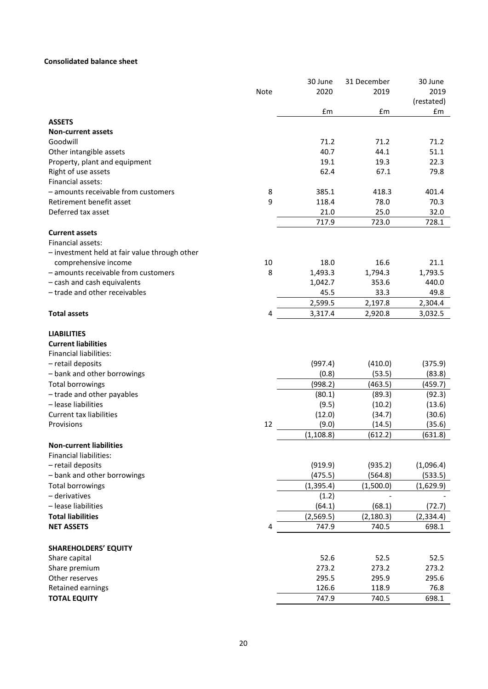# **Consolidated balance sheet**

|                                               |      | 30 June    | 31 December | 30 June    |
|-----------------------------------------------|------|------------|-------------|------------|
|                                               | Note | 2020       | 2019        | 2019       |
|                                               |      |            |             | (restated) |
|                                               |      | £m         | £m          | £m         |
| <b>ASSETS</b>                                 |      |            |             |            |
| <b>Non-current assets</b>                     |      |            |             |            |
| Goodwill                                      |      | 71.2       | 71.2        | 71.2       |
| Other intangible assets                       |      | 40.7       | 44.1        | 51.1       |
| Property, plant and equipment                 |      | 19.1       | 19.3        | 22.3       |
| Right of use assets                           |      | 62.4       | 67.1        | 79.8       |
| Financial assets:                             |      |            |             |            |
| - amounts receivable from customers           | 8    | 385.1      | 418.3       | 401.4      |
| Retirement benefit asset                      | 9    | 118.4      | 78.0        | 70.3       |
| Deferred tax asset                            |      | 21.0       | 25.0        | 32.0       |
|                                               |      |            |             |            |
|                                               |      | 717.9      | 723.0       | 728.1      |
| <b>Current assets</b>                         |      |            |             |            |
| Financial assets:                             |      |            |             |            |
| - investment held at fair value through other |      |            |             |            |
| comprehensive income                          | 10   | 18.0       | 16.6        | 21.1       |
| - amounts receivable from customers           | 8    | 1,493.3    | 1,794.3     | 1,793.5    |
| - cash and cash equivalents                   |      | 1,042.7    | 353.6       | 440.0      |
| - trade and other receivables                 |      | 45.5       | 33.3        | 49.8       |
|                                               |      | 2,599.5    | 2,197.8     | 2,304.4    |
| <b>Total assets</b>                           | 4    | 3,317.4    | 2,920.8     | 3,032.5    |
|                                               |      |            |             |            |
| <b>LIABILITIES</b>                            |      |            |             |            |
| <b>Current liabilities</b>                    |      |            |             |            |
| <b>Financial liabilities:</b>                 |      |            |             |            |
| - retail deposits                             |      | (997.4)    | (410.0)     | (375.9)    |
| - bank and other borrowings                   |      | (0.8)      | (53.5)      | (83.8)     |
| <b>Total borrowings</b>                       |      | (998.2)    | (463.5)     | (459.7)    |
| - trade and other payables                    |      | (80.1)     | (89.3)      | (92.3)     |
| - lease liabilities                           |      | (9.5)      | (10.2)      | (13.6)     |
| <b>Current tax liabilities</b>                |      | (12.0)     | (34.7)      | (30.6)     |
| Provisions                                    | 12   | (9.0)      | (14.5)      | (35.6)     |
|                                               |      | (1, 108.8) | (612.2)     | (631.8)    |
| <b>Non-current liabilities</b>                |      |            |             |            |
| <b>Financial liabilities:</b>                 |      |            |             |            |
| - retail deposits                             |      | (919.9)    | (935.2)     | (1,096.4)  |
| - bank and other borrowings                   |      | (475.5)    | (564.8)     | (533.5)    |
| <b>Total borrowings</b>                       |      | (1, 395.4) | (1,500.0)   |            |
|                                               |      |            |             | (1,629.9)  |
| - derivatives                                 |      | (1.2)      |             |            |
| - lease liabilities                           |      | (64.1)     | (68.1)      | (72.7)     |
| <b>Total liabilities</b>                      |      | (2,569.5)  | (2, 180.3)  | (2, 334.4) |
| <b>NET ASSETS</b>                             | 4    | 747.9      | 740.5       | 698.1      |
| <b>SHAREHOLDERS' EQUITY</b>                   |      |            |             |            |
| Share capital                                 |      | 52.6       | 52.5        | 52.5       |
|                                               |      | 273.2      | 273.2       | 273.2      |
| Share premium                                 |      |            |             |            |
| Other reserves                                |      | 295.5      | 295.9       | 295.6      |
| Retained earnings                             |      | 126.6      | 118.9       | 76.8       |
| <b>TOTAL EQUITY</b>                           |      | 747.9      | 740.5       | 698.1      |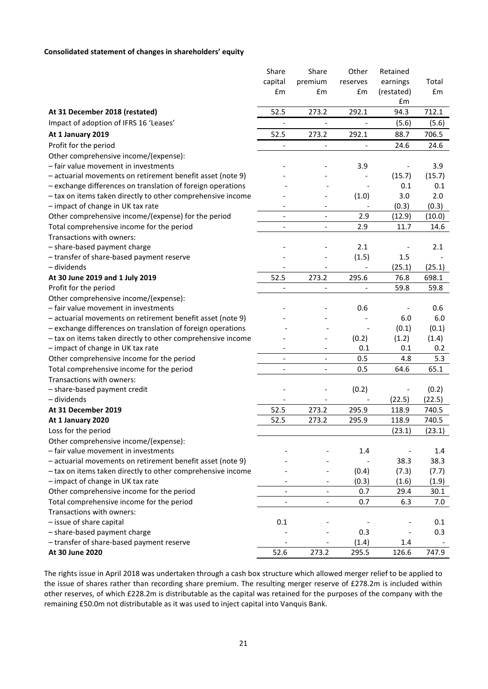# **Consolidated statement of changes in shareholders' equity**

|                                                             | Share                        | Share                        | Other                    | Retained                 |        |
|-------------------------------------------------------------|------------------------------|------------------------------|--------------------------|--------------------------|--------|
|                                                             | capital                      | premium                      | reserves                 | earnings                 | Total  |
|                                                             | £m                           | £m                           | £m                       | (restated)               | £m     |
|                                                             |                              |                              |                          | £m                       |        |
| At 31 December 2018 (restated)                              | 52.5                         | 273.2                        | 292.1                    | 94.3                     | 712.1  |
| Impact of adoption of IFRS 16 'Leases'                      |                              |                              |                          | (5.6)                    | (5.6)  |
| At 1 January 2019                                           | 52.5                         | 273.2                        | 292.1                    | 88.7                     | 706.5  |
| Profit for the period                                       |                              |                              |                          | 24.6                     | 24.6   |
| Other comprehensive income/(expense):                       |                              |                              |                          |                          |        |
| - fair value movement in investments                        |                              |                              | 3.9                      |                          | 3.9    |
| - actuarial movements on retirement benefit asset (note 9)  |                              |                              |                          | (15.7)                   | (15.7) |
| - exchange differences on translation of foreign operations |                              |                              |                          | 0.1                      | 0.1    |
| - tax on items taken directly to other comprehensive income |                              |                              | (1.0)                    | 3.0                      | 2.0    |
| - impact of change in UK tax rate                           |                              | $\qquad \qquad \blacksquare$ |                          | (0.3)                    | (0.3)  |
| Other comprehensive income/(expense) for the period         |                              | $\overline{\phantom{a}}$     | 2.9                      | (12.9)                   | (10.0) |
| Total comprehensive income for the period                   | $\overline{\phantom{a}}$     | $\overline{\phantom{a}}$     | 2.9                      | 11.7                     | 14.6   |
| Transactions with owners:                                   |                              |                              |                          |                          |        |
| - share-based payment charge                                |                              |                              | 2.1                      | $\overline{\phantom{m}}$ | 2.1    |
| - transfer of share-based payment reserve                   |                              |                              | (1.5)                    | 1.5                      |        |
| - dividends                                                 |                              |                              | $\overline{\phantom{a}}$ | (25.1)                   | (25.1) |
| At 30 June 2019 and 1 July 2019                             | 52.5                         | 273.2                        | 295.6                    | 76.8                     | 698.1  |
| Profit for the period                                       |                              |                              |                          | 59.8                     | 59.8   |
| Other comprehensive income/(expense):                       |                              |                              |                          |                          |        |
| - fair value movement in investments                        |                              |                              | 0.6                      |                          | 0.6    |
|                                                             |                              |                              |                          | 6.0                      | 6.0    |
| - actuarial movements on retirement benefit asset (note 9)  |                              |                              |                          |                          |        |
| - exchange differences on translation of foreign operations |                              |                              |                          | (0.1)                    | (0.1)  |
| - tax on items taken directly to other comprehensive income |                              |                              | (0.2)                    | (1.2)                    | (1.4)  |
| - impact of change in UK tax rate                           |                              |                              | 0.1                      | 0.1                      | 0.2    |
| Other comprehensive income for the period                   |                              |                              | 0.5                      | 4.8                      | 5.3    |
| Total comprehensive income for the period                   | $\overline{\phantom{a}}$     | $\overline{\phantom{0}}$     | 0.5                      | 64.6                     | 65.1   |
| Transactions with owners:                                   |                              |                              |                          |                          |        |
| - share-based payment credit                                |                              |                              | (0.2)                    | $\overline{\phantom{m}}$ | (0.2)  |
| - dividends                                                 |                              |                              |                          | (22.5)                   | (22.5) |
| At 31 December 2019                                         | 52.5                         | 273.2                        | 295.9                    | 118.9                    | 740.5  |
| At 1 January 2020                                           | 52.5                         | 273.2                        | 295.9                    | 118.9                    | 740.5  |
| Loss for the period                                         |                              |                              |                          | (23.1)                   | (23.1) |
| Other comprehensive income/(expense):                       |                              |                              |                          |                          |        |
| - fair value movement in investments                        |                              |                              | 1.4                      |                          | 1.4    |
| - actuarial movements on retirement benefit asset (note 9)  |                              |                              |                          | 38.3                     | 38.3   |
| - tax on items taken directly to other comprehensive income |                              |                              | (0.4)                    | (7.3)                    | (7.7)  |
| - impact of change in UK tax rate                           |                              |                              | (0.3)                    | (1.6)                    | (1.9)  |
| Other comprehensive income for the period                   | $\overline{\phantom{a}}$     |                              | 0.7                      | 29.4                     | 30.1   |
| Total comprehensive income for the period                   | $\qquad \qquad \blacksquare$ | $\qquad \qquad \blacksquare$ | 0.7                      | 6.3                      | 7.0    |
| Transactions with owners:                                   |                              |                              |                          |                          |        |
| - issue of share capital                                    | 0.1                          |                              |                          |                          | 0.1    |
| - share-based payment charge                                |                              |                              | 0.3                      |                          | 0.3    |
| - transfer of share-based payment reserve                   |                              |                              | (1.4)                    | 1.4                      |        |
| At 30 June 2020                                             | 52.6                         | 273.2                        | 295.5                    | 126.6                    | 747.9  |
|                                                             |                              |                              |                          |                          |        |

The rights issue in April 2018 was undertaken through a cash box structure which allowed merger relief to be applied to the issue of shares rather than recording share premium. The resulting merger reserve of £278.2m is included within other reserves, of which £228.2m is distributable as the capital was retained for the purposes of the company with the remaining £50.0m not distributable as it was used to inject capital into Vanquis Bank.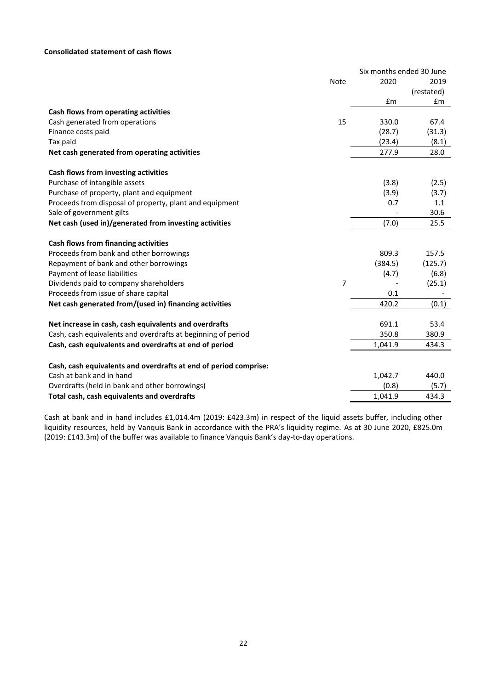# **Consolidated statement of cash flows**

|                                                                  |             | Six months ended 30 June |            |
|------------------------------------------------------------------|-------------|--------------------------|------------|
|                                                                  | <b>Note</b> | 2020                     | 2019       |
|                                                                  |             |                          | (restated) |
|                                                                  |             | £m                       | £m         |
| Cash flows from operating activities                             |             |                          |            |
| Cash generated from operations                                   | 15          | 330.0                    | 67.4       |
| Finance costs paid                                               |             | (28.7)                   | (31.3)     |
| Tax paid                                                         |             | (23.4)                   | (8.1)      |
| Net cash generated from operating activities                     |             | 277.9                    | 28.0       |
| Cash flows from investing activities                             |             |                          |            |
| Purchase of intangible assets                                    |             | (3.8)                    | (2.5)      |
| Purchase of property, plant and equipment                        |             | (3.9)                    | (3.7)      |
| Proceeds from disposal of property, plant and equipment          |             | 0.7                      | 1.1        |
| Sale of government gilts                                         |             |                          | 30.6       |
| Net cash (used in)/generated from investing activities           |             | (7.0)                    | 25.5       |
| Cash flows from financing activities                             |             |                          |            |
| Proceeds from bank and other borrowings                          |             | 809.3                    | 157.5      |
| Repayment of bank and other borrowings                           |             | (384.5)                  | (125.7)    |
| Payment of lease liabilities                                     |             | (4.7)                    | (6.8)      |
| Dividends paid to company shareholders                           | 7           |                          | (25.1)     |
| Proceeds from issue of share capital                             |             | 0.1                      |            |
| Net cash generated from/(used in) financing activities           |             | 420.2                    | (0.1)      |
| Net increase in cash, cash equivalents and overdrafts            |             | 691.1                    | 53.4       |
| Cash, cash equivalents and overdrafts at beginning of period     |             | 350.8                    | 380.9      |
| Cash, cash equivalents and overdrafts at end of period           |             | 1,041.9                  | 434.3      |
| Cash, cash equivalents and overdrafts at end of period comprise: |             |                          |            |
| Cash at bank and in hand                                         |             | 1,042.7                  | 440.0      |
| Overdrafts (held in bank and other borrowings)                   |             | (0.8)                    | (5.7)      |
| Total cash, cash equivalents and overdrafts                      |             | 1,041.9                  | 434.3      |
|                                                                  |             |                          |            |

Cash at bank and in hand includes £1,014.4m (2019: £423.3m) in respect of the liquid assets buffer, including other liquidity resources, held by Vanquis Bank in accordance with the PRA's liquidity regime. As at 30 June 2020, £825.0m (2019: £143.3m) of the buffer was available to finance Vanquis Bank's day-to-day operations.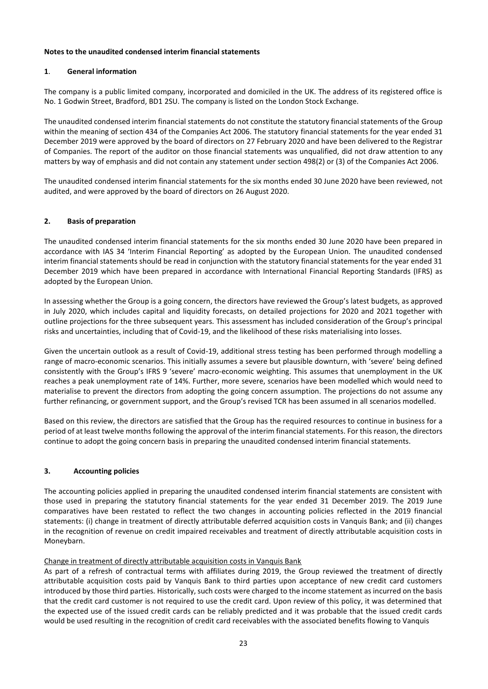# **Notes to the unaudited condensed interim financial statements**

# **1**. **General information**

The company is a public limited company, incorporated and domiciled in the UK. The address of its registered office is No. 1 Godwin Street, Bradford, BD1 2SU. The company is listed on the London Stock Exchange.

The unaudited condensed interim financial statements do not constitute the statutory financial statements of the Group within the meaning of section 434 of the Companies Act 2006. The statutory financial statements for the year ended 31 December 2019 were approved by the board of directors on 27 February 2020 and have been delivered to the Registrar of Companies. The report of the auditor on those financial statements was unqualified, did not draw attention to any matters by way of emphasis and did not contain any statement under section 498(2) or (3) of the Companies Act 2006.

The unaudited condensed interim financial statements for the six months ended 30 June 2020 have been reviewed, not audited, and were approved by the board of directors on 26 August 2020.

# **2. Basis of preparation**

The unaudited condensed interim financial statements for the six months ended 30 June 2020 have been prepared in accordance with IAS 34 'Interim Financial Reporting' as adopted by the European Union. The unaudited condensed interim financial statements should be read in conjunction with the statutory financial statements for the year ended 31 December 2019 which have been prepared in accordance with International Financial Reporting Standards (IFRS) as adopted by the European Union.

In assessing whether the Group is a going concern, the directors have reviewed the Group's latest budgets, as approved in July 2020, which includes capital and liquidity forecasts, on detailed projections for 2020 and 2021 together with outline projections for the three subsequent years. This assessment has included consideration of the Group's principal risks and uncertainties, including that of Covid-19, and the likelihood of these risks materialising into losses.

Given the uncertain outlook as a result of Covid-19, additional stress testing has been performed through modelling a range of macro-economic scenarios. This initially assumes a severe but plausible downturn, with 'severe' being defined consistently with the Group's IFRS 9 'severe' macro-economic weighting. This assumes that unemployment in the UK reaches a peak unemployment rate of 14%. Further, more severe, scenarios have been modelled which would need to materialise to prevent the directors from adopting the going concern assumption. The projections do not assume any further refinancing, or government support, and the Group's revised TCR has been assumed in all scenarios modelled.

Based on this review, the directors are satisfied that the Group has the required resources to continue in business for a period of at least twelve months following the approval of the interim financial statements. For this reason, the directors continue to adopt the going concern basis in preparing the unaudited condensed interim financial statements.

# **3. Accounting policies**

The accounting policies applied in preparing the unaudited condensed interim financial statements are consistent with those used in preparing the statutory financial statements for the year ended 31 December 2019. The 2019 June comparatives have been restated to reflect the two changes in accounting policies reflected in the 2019 financial statements: (i) change in treatment of directly attributable deferred acquisition costs in Vanquis Bank; and (ii) changes in the recognition of revenue on credit impaired receivables and treatment of directly attributable acquisition costs in Moneybarn.

# Change in treatment of directly attributable acquisition costs in Vanquis Bank

As part of a refresh of contractual terms with affiliates during 2019, the Group reviewed the treatment of directly attributable acquisition costs paid by Vanquis Bank to third parties upon acceptance of new credit card customers introduced by those third parties. Historically, such costs were charged to the income statement as incurred on the basis that the credit card customer is not required to use the credit card. Upon review of this policy, it was determined that the expected use of the issued credit cards can be reliably predicted and it was probable that the issued credit cards would be used resulting in the recognition of credit card receivables with the associated benefits flowing to Vanquis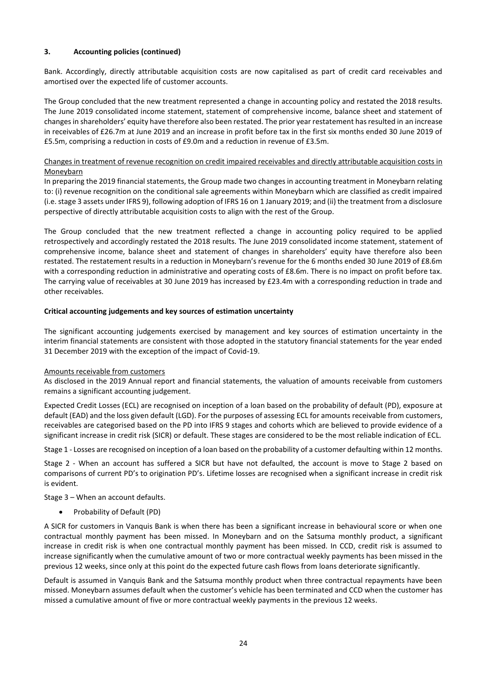# **3. Accounting policies (continued)**

Bank. Accordingly, directly attributable acquisition costs are now capitalised as part of credit card receivables and amortised over the expected life of customer accounts.

The Group concluded that the new treatment represented a change in accounting policy and restated the 2018 results. The June 2019 consolidated income statement, statement of comprehensive income, balance sheet and statement of changes in shareholders' equity have therefore also been restated. The prior year restatement has resulted in an increase in receivables of £26.7m at June 2019 and an increase in profit before tax in the first six months ended 30 June 2019 of £5.5m, comprising a reduction in costs of £9.0m and a reduction in revenue of £3.5m.

# Changes in treatment of revenue recognition on credit impaired receivables and directly attributable acquisition costs in **Moneybarn**

In preparing the 2019 financial statements, the Group made two changes in accounting treatment in Moneybarn relating to: (i) revenue recognition on the conditional sale agreements within Moneybarn which are classified as credit impaired (i.e. stage 3 assets under IFRS 9), following adoption of IFRS 16 on 1 January 2019; and (ii) the treatment from a disclosure perspective of directly attributable acquisition costs to align with the rest of the Group.

The Group concluded that the new treatment reflected a change in accounting policy required to be applied retrospectively and accordingly restated the 2018 results. The June 2019 consolidated income statement, statement of comprehensive income, balance sheet and statement of changes in shareholders' equity have therefore also been restated. The restatement results in a reduction in Moneybarn's revenue for the 6 months ended 30 June 2019 of £8.6m with a corresponding reduction in administrative and operating costs of £8.6m. There is no impact on profit before tax. The carrying value of receivables at 30 June 2019 has increased by £23.4m with a corresponding reduction in trade and other receivables.

# **Critical accounting judgements and key sources of estimation uncertainty**

The significant accounting judgements exercised by management and key sources of estimation uncertainty in the interim financial statements are consistent with those adopted in the statutory financial statements for the year ended 31 December 2019 with the exception of the impact of Covid-19.

# Amounts receivable from customers

As disclosed in the 2019 Annual report and financial statements, the valuation of amounts receivable from customers remains a significant accounting judgement.

Expected Credit Losses (ECL) are recognised on inception of a loan based on the probability of default (PD), exposure at default (EAD) and the loss given default (LGD). For the purposes of assessing ECL for amounts receivable from customers, receivables are categorised based on the PD into IFRS 9 stages and cohorts which are believed to provide evidence of a significant increase in credit risk (SICR) or default. These stages are considered to be the most reliable indication of ECL.

Stage 1 - Losses are recognised on inception of a loan based on the probability of a customer defaulting within 12 months.

Stage 2 - When an account has suffered a SICR but have not defaulted, the account is move to Stage 2 based on comparisons of current PD's to origination PD's. Lifetime losses are recognised when a significant increase in credit risk is evident.

Stage 3 – When an account defaults.

• Probability of Default (PD)

A SICR for customers in Vanquis Bank is when there has been a significant increase in behavioural score or when one contractual monthly payment has been missed. In Moneybarn and on the Satsuma monthly product, a significant increase in credit risk is when one contractual monthly payment has been missed. In CCD, credit risk is assumed to increase significantly when the cumulative amount of two or more contractual weekly payments has been missed in the previous 12 weeks, since only at this point do the expected future cash flows from loans deteriorate significantly.

Default is assumed in Vanquis Bank and the Satsuma monthly product when three contractual repayments have been missed. Moneybarn assumes default when the customer's vehicle has been terminated and CCD when the customer has missed a cumulative amount of five or more contractual weekly payments in the previous 12 weeks.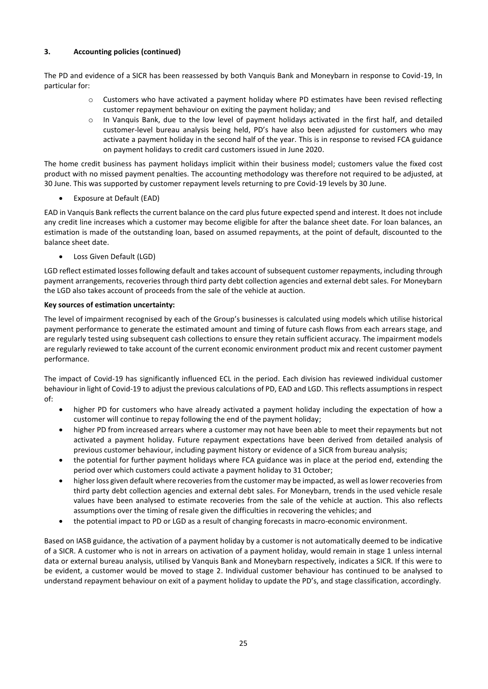# **3. Accounting policies (continued)**

The PD and evidence of a SICR has been reassessed by both Vanquis Bank and Moneybarn in response to Covid-19, In particular for:

- o Customers who have activated a payment holiday where PD estimates have been revised reflecting customer repayment behaviour on exiting the payment holiday; and
- o In Vanquis Bank, due to the low level of payment holidays activated in the first half, and detailed customer-level bureau analysis being held, PD's have also been adjusted for customers who may activate a payment holiday in the second half of the year. This is in response to revised FCA guidance on payment holidays to credit card customers issued in June 2020.

The home credit business has payment holidays implicit within their business model; customers value the fixed cost product with no missed payment penalties. The accounting methodology was therefore not required to be adjusted, at 30 June. This was supported by customer repayment levels returning to pre Covid-19 levels by 30 June.

• Exposure at Default (EAD)

EAD in Vanquis Bank reflects the current balance on the card plus future expected spend and interest. It does not include any credit line increases which a customer may become eligible for after the balance sheet date. For loan balances, an estimation is made of the outstanding loan, based on assumed repayments, at the point of default, discounted to the balance sheet date.

Loss Given Default (LGD)

LGD reflect estimated losses following default and takes account of subsequent customer repayments, including through payment arrangements, recoveries through third party debt collection agencies and external debt sales. For Moneybarn the LGD also takes account of proceeds from the sale of the vehicle at auction.

# **Key sources of estimation uncertainty:**

The level of impairment recognised by each of the Group's businesses is calculated using models which utilise historical payment performance to generate the estimated amount and timing of future cash flows from each arrears stage, and are regularly tested using subsequent cash collections to ensure they retain sufficient accuracy. The impairment models are regularly reviewed to take account of the current economic environment product mix and recent customer payment performance.

The impact of Covid-19 has significantly influenced ECL in the period. Each division has reviewed individual customer behaviour in light of Covid-19 to adjust the previous calculations of PD, EAD and LGD. This reflects assumptions in respect of:

- higher PD for customers who have already activated a payment holiday including the expectation of how a customer will continue to repay following the end of the payment holiday;
- higher PD from increased arrears where a customer may not have been able to meet their repayments but not activated a payment holiday. Future repayment expectations have been derived from detailed analysis of previous customer behaviour, including payment history or evidence of a SICR from bureau analysis;
- the potential for further payment holidays where FCA guidance was in place at the period end, extending the period over which customers could activate a payment holiday to 31 October;
- higher loss given default where recoveries from the customer may be impacted, as well as lower recoveries from third party debt collection agencies and external debt sales. For Moneybarn, trends in the used vehicle resale values have been analysed to estimate recoveries from the sale of the vehicle at auction. This also reflects assumptions over the timing of resale given the difficulties in recovering the vehicles; and
- the potential impact to PD or LGD as a result of changing forecasts in macro-economic environment.

Based on IASB guidance, the activation of a payment holiday by a customer is not automatically deemed to be indicative of a SICR. A customer who is not in arrears on activation of a payment holiday, would remain in stage 1 unless internal data or external bureau analysis, utilised by Vanquis Bank and Moneybarn respectively, indicates a SICR. If this were to be evident, a customer would be moved to stage 2. Individual customer behaviour has continued to be analysed to understand repayment behaviour on exit of a payment holiday to update the PD's, and stage classification, accordingly.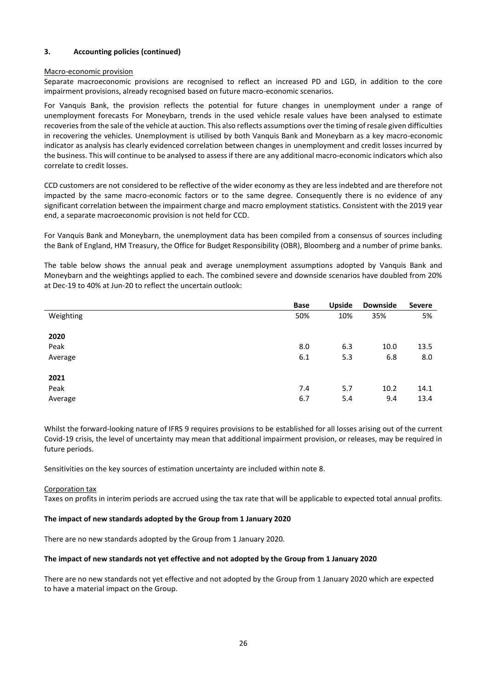# **3. Accounting policies (continued)**

## Macro-economic provision

Separate macroeconomic provisions are recognised to reflect an increased PD and LGD, in addition to the core impairment provisions, already recognised based on future macro-economic scenarios.

For Vanquis Bank, the provision reflects the potential for future changes in unemployment under a range of unemployment forecasts For Moneybarn, trends in the used vehicle resale values have been analysed to estimate recoveries from the sale of the vehicle at auction. This also reflects assumptions over the timing of resale given difficulties in recovering the vehicles. Unemployment is utilised by both Vanquis Bank and Moneybarn as a key macro-economic indicator as analysis has clearly evidenced correlation between changes in unemployment and credit losses incurred by the business. This will continue to be analysed to assess if there are any additional macro-economic indicators which also correlate to credit losses.

CCD customers are not considered to be reflective of the wider economy as they are less indebted and are therefore not impacted by the same macro-economic factors or to the same degree. Consequently there is no evidence of any significant correlation between the impairment charge and macro employment statistics. Consistent with the 2019 year end, a separate macroeconomic provision is not held for CCD.

For Vanquis Bank and Moneybarn, the unemployment data has been compiled from a consensus of sources including the Bank of England, HM Treasury, the Office for Budget Responsibility (OBR), Bloomberg and a number of prime banks.

The table below shows the annual peak and average unemployment assumptions adopted by Vanquis Bank and Moneybarn and the weightings applied to each. The combined severe and downside scenarios have doubled from 20% at Dec-19 to 40% at Jun-20 to reflect the uncertain outlook:

|           | <b>Base</b> | <b>Upside</b> | <b>Downside</b> | <b>Severe</b> |
|-----------|-------------|---------------|-----------------|---------------|
| Weighting | 50%         | 10%           | 35%             | 5%            |
|           |             |               |                 |               |
| 2020      |             |               |                 |               |
| Peak      | 8.0         | 6.3           | 10.0            | 13.5          |
| Average   | 6.1         | 5.3           | 6.8             | 8.0           |
|           |             |               |                 |               |
| 2021      |             |               |                 |               |
| Peak      | 7.4         | 5.7           | 10.2            | 14.1          |
| Average   | 6.7         | 5.4           | 9.4             | 13.4          |

Whilst the forward-looking nature of IFRS 9 requires provisions to be established for all losses arising out of the current Covid-19 crisis, the level of uncertainty may mean that additional impairment provision, or releases, may be required in future periods.

Sensitivities on the key sources of estimation uncertainty are included within note 8.

#### Corporation tax

Taxes on profits in interim periods are accrued using the tax rate that will be applicable to expected total annual profits.

# **The impact of new standards adopted by the Group from 1 January 2020**

There are no new standards adopted by the Group from 1 January 2020.

# **The impact of new standards not yet effective and not adopted by the Group from 1 January 2020**

There are no new standards not yet effective and not adopted by the Group from 1 January 2020 which are expected to have a material impact on the Group.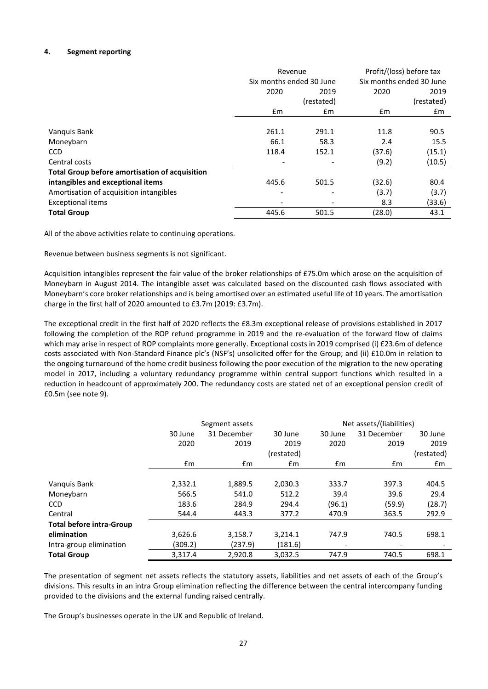# **4. Segment reporting**

|                                                       | Revenue                  |               | Profit/(loss) before tax |                          |
|-------------------------------------------------------|--------------------------|---------------|--------------------------|--------------------------|
|                                                       | Six months ended 30 June |               |                          | Six months ended 30 June |
|                                                       | 2020                     | 2019          | 2020                     | 2019                     |
|                                                       |                          | (restated)    |                          | (restated)               |
|                                                       | £m                       | $\mathsf{fm}$ | £m                       | £m                       |
|                                                       |                          |               |                          |                          |
| Vanguis Bank                                          | 261.1                    | 291.1         | 11.8                     | 90.5                     |
| Moneybarn                                             | 66.1                     | 58.3          | 2.4                      | 15.5                     |
| <b>CCD</b>                                            | 118.4                    | 152.1         | (37.6)                   | (15.1)                   |
| Central costs                                         |                          |               | (9.2)                    | (10.5)                   |
| <b>Total Group before amortisation of acquisition</b> |                          |               |                          |                          |
| intangibles and exceptional items                     | 445.6                    | 501.5         | (32.6)                   | 80.4                     |
| Amortisation of acquisition intangibles               | $\overline{\phantom{0}}$ |               | (3.7)                    | (3.7)                    |
| <b>Exceptional items</b>                              |                          |               | 8.3                      | (33.6)                   |
| <b>Total Group</b>                                    | 445.6                    | 501.5         | (28.0)                   | 43.1                     |

All of the above activities relate to continuing operations.

Revenue between business segments is not significant.

Acquisition intangibles represent the fair value of the broker relationships of £75.0m which arose on the acquisition of Moneybarn in August 2014. The intangible asset was calculated based on the discounted cash flows associated with Moneybarn's core broker relationships and is being amortised over an estimated useful life of 10 years. The amortisation charge in the first half of 2020 amounted to £3.7m (2019: £3.7m).

The exceptional credit in the first half of 2020 reflects the £8.3m exceptional release of provisions established in 2017 following the completion of the ROP refund programme in 2019 and the re-evaluation of the forward flow of claims which may arise in respect of ROP complaints more generally. Exceptional costs in 2019 comprised (i) £23.6m of defence costs associated with Non-Standard Finance plc's (NSF's) unsolicited offer for the Group; and (ii) £10.0m in relation to the ongoing turnaround of the home credit business following the poor execution of the migration to the new operating model in 2017, including a voluntary redundancy programme within central support functions which resulted in a reduction in headcount of approximately 200. The redundancy costs are stated net of an exceptional pension credit of £0.5m (see note 9).

|                                 |         | Segment assets |            |                          | Net assets/(liabilities) |            |
|---------------------------------|---------|----------------|------------|--------------------------|--------------------------|------------|
|                                 | 30 June | 31 December    | 30 June    | 30 June                  | 31 December              | 30 June    |
|                                 | 2020    | 2019           | 2019       | 2020                     | 2019                     | 2019       |
|                                 |         |                | (restated) |                          |                          | (restated) |
|                                 | £m      | Em             | £m         | £m                       | $\mathbf{f}$ m           | £m         |
|                                 |         |                |            |                          |                          |            |
| Vanquis Bank                    | 2,332.1 | 1,889.5        | 2,030.3    | 333.7                    | 397.3                    | 404.5      |
| Moneybarn                       | 566.5   | 541.0          | 512.2      | 39.4                     | 39.6                     | 29.4       |
| <b>CCD</b>                      | 183.6   | 284.9          | 294.4      | (96.1)                   | (59.9)                   | (28.7)     |
| Central                         | 544.4   | 443.3          | 377.2      | 470.9                    | 363.5                    | 292.9      |
| <b>Total before intra-Group</b> |         |                |            |                          |                          |            |
| elimination                     | 3,626.6 | 3,158.7        | 3,214.1    | 747.9                    | 740.5                    | 698.1      |
| Intra-group elimination         | (309.2) | (237.9)        | (181.6)    | $\overline{\phantom{a}}$ |                          |            |
| <b>Total Group</b>              | 3,317.4 | 2,920.8        | 3,032.5    | 747.9                    | 740.5                    | 698.1      |

The presentation of segment net assets reflects the statutory assets, liabilities and net assets of each of the Group's divisions. This results in an intra Group elimination reflecting the difference between the central intercompany funding provided to the divisions and the external funding raised centrally.

The Group's businesses operate in the UK and Republic of Ireland.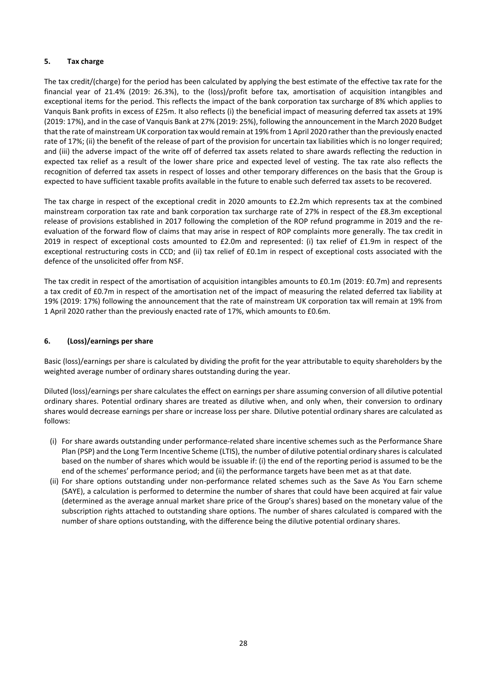# **5. Tax charge**

The tax credit/(charge) for the period has been calculated by applying the best estimate of the effective tax rate for the financial year of 21.4% (2019: 26.3%), to the (loss)/profit before tax, amortisation of acquisition intangibles and exceptional items for the period. This reflects the impact of the bank corporation tax surcharge of 8% which applies to Vanquis Bank profits in excess of £25m. It also reflects (i) the beneficial impact of measuring deferred tax assets at 19% (2019: 17%), and in the case of Vanquis Bank at 27% (2019: 25%), following the announcement in the March 2020 Budget that the rate of mainstream UK corporation tax would remain at 19% from 1 April 2020 rather than the previously enacted rate of 17%; (ii) the benefit of the release of part of the provision for uncertain tax liabilities which is no longer required; and (iii) the adverse impact of the write off of deferred tax assets related to share awards reflecting the reduction in expected tax relief as a result of the lower share price and expected level of vesting. The tax rate also reflects the recognition of deferred tax assets in respect of losses and other temporary differences on the basis that the Group is expected to have sufficient taxable profits available in the future to enable such deferred tax assets to be recovered.

The tax charge in respect of the exceptional credit in 2020 amounts to £2.2m which represents tax at the combined mainstream corporation tax rate and bank corporation tax surcharge rate of 27% in respect of the £8.3m exceptional release of provisions established in 2017 following the completion of the ROP refund programme in 2019 and the reevaluation of the forward flow of claims that may arise in respect of ROP complaints more generally. The tax credit in 2019 in respect of exceptional costs amounted to £2.0m and represented: (i) tax relief of £1.9m in respect of the exceptional restructuring costs in CCD; and (ii) tax relief of £0.1m in respect of exceptional costs associated with the defence of the unsolicited offer from NSF.

The tax credit in respect of the amortisation of acquisition intangibles amounts to £0.1m (2019: £0.7m) and represents a tax credit of £0.7m in respect of the amortisation net of the impact of measuring the related deferred tax liability at 19% (2019: 17%) following the announcement that the rate of mainstream UK corporation tax will remain at 19% from 1 April 2020 rather than the previously enacted rate of 17%, which amounts to £0.6m.

# **6. (Loss)/earnings per share**

Basic (loss)/earnings per share is calculated by dividing the profit for the year attributable to equity shareholders by the weighted average number of ordinary shares outstanding during the year.

Diluted (loss)/earnings per share calculates the effect on earnings per share assuming conversion of all dilutive potential ordinary shares. Potential ordinary shares are treated as dilutive when, and only when, their conversion to ordinary shares would decrease earnings per share or increase loss per share. Dilutive potential ordinary shares are calculated as follows:

- (i) For share awards outstanding under performance-related share incentive schemes such as the Performance Share Plan (PSP) and the Long Term Incentive Scheme (LTIS), the number of dilutive potential ordinary shares is calculated based on the number of shares which would be issuable if: (i) the end of the reporting period is assumed to be the end of the schemes' performance period; and (ii) the performance targets have been met as at that date.
- (ii) For share options outstanding under non-performance related schemes such as the Save As You Earn scheme (SAYE), a calculation is performed to determine the number of shares that could have been acquired at fair value (determined as the average annual market share price of the Group's shares) based on the monetary value of the subscription rights attached to outstanding share options. The number of shares calculated is compared with the number of share options outstanding, with the difference being the dilutive potential ordinary shares.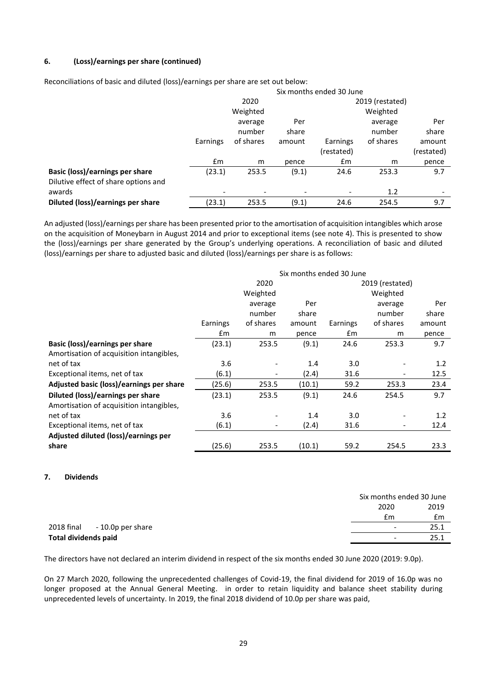# **6. (Loss)/earnings per share (continued)**

Reconciliations of basic and diluted (loss)/earnings per share are set out below:

|                                      | Six months ended 30 June |           |        |            |                 |            |
|--------------------------------------|--------------------------|-----------|--------|------------|-----------------|------------|
|                                      |                          | 2020      |        |            | 2019 (restated) |            |
|                                      |                          | Weighted  |        |            | Weighted        |            |
|                                      |                          | average   | Per    |            | average         | Per        |
|                                      |                          | number    | share  |            | number          | share      |
|                                      | Earnings                 | of shares | amount | Earnings   | of shares       | amount     |
|                                      |                          |           |        | (restated) |                 | (restated) |
|                                      | £m                       | m         | pence  | £m         | m               | pence      |
| Basic (loss)/earnings per share      | (23.1)                   | 253.5     | (9.1)  | 24.6       | 253.3           | 9.7        |
| Dilutive effect of share options and |                          |           |        |            |                 |            |
| awards                               | $\overline{\phantom{a}}$ |           |        | -          | 1.2             |            |
| Diluted (loss)/earnings per share    | (23.1)                   | 253.5     | (9.1)  | 24.6       | 254.5           | 9.7        |

An adjusted (loss)/earnings per share has been presented prior to the amortisation of acquisition intangibles which arose on the acquisition of Moneybarn in August 2014 and prior to exceptional items (see note 4). This is presented to show the (loss)/earnings per share generated by the Group's underlying operations. A reconciliation of basic and diluted (loss)/earnings per share to adjusted basic and diluted (loss)/earnings per share is as follows:

|                                          | Six months ended 30 June |                          |        |          |                          |        |  |
|------------------------------------------|--------------------------|--------------------------|--------|----------|--------------------------|--------|--|
|                                          |                          | 2020                     |        |          | 2019 (restated)          |        |  |
|                                          |                          | Weighted                 |        | Weighted |                          |        |  |
|                                          | Per<br>average           |                          |        |          | average                  | Per    |  |
|                                          |                          | number                   | share  |          | number                   | share  |  |
|                                          | Earnings                 | of shares                | amount | Earnings | of shares                | amount |  |
|                                          | £m                       | m                        | pence  | £m       | m                        | pence  |  |
| Basic (loss)/earnings per share          | (23.1)                   | 253.5                    | (9.1)  | 24.6     | 253.3                    | 9.7    |  |
| Amortisation of acquisition intangibles, |                          |                          |        |          |                          |        |  |
| net of tax                               | 3.6                      |                          | 1.4    | 3.0      |                          | 1.2    |  |
| Exceptional items, net of tax            | (6.1)                    | $\overline{\phantom{a}}$ | (2.4)  | 31.6     |                          | 12.5   |  |
| Adjusted basic (loss)/earnings per share | (25.6)                   | 253.5                    | (10.1) | 59.2     | 253.3                    | 23.4   |  |
| Diluted (loss)/earnings per share        | (23.1)                   | 253.5                    | (9.1)  | 24.6     | 254.5                    | 9.7    |  |
| Amortisation of acquisition intangibles, |                          |                          |        |          |                          |        |  |
| net of tax                               | 3.6                      |                          | 1.4    | 3.0      |                          | 1.2    |  |
| Exceptional items, net of tax            | (6.1)                    | $\overline{\phantom{a}}$ | (2.4)  | 31.6     | $\overline{\phantom{a}}$ | 12.4   |  |
| Adjusted diluted (loss)/earnings per     |                          |                          |        |          |                          |        |  |
| share                                    | (25.6)                   | 253.5                    | (10.1) | 59.2     | 254.5                    | 23.3   |  |

# **7. Dividends**

| 2020                         | 2019                             |
|------------------------------|----------------------------------|
|                              | £m<br>£m                         |
| 2018 final - 10.0p per share | 25.1<br>$\overline{\phantom{a}}$ |
| Total dividends paid         | 25.1<br>$\overline{\phantom{a}}$ |

The directors have not declared an interim dividend in respect of the six months ended 30 June 2020 (2019: 9.0p).

On 27 March 2020, following the unprecedented challenges of Covid-19, the final dividend for 2019 of 16.0p was no longer proposed at the Annual General Meeting. in order to retain liquidity and balance sheet stability during unprecedented levels of uncertainty. In 2019, the final 2018 dividend of 10.0p per share was paid,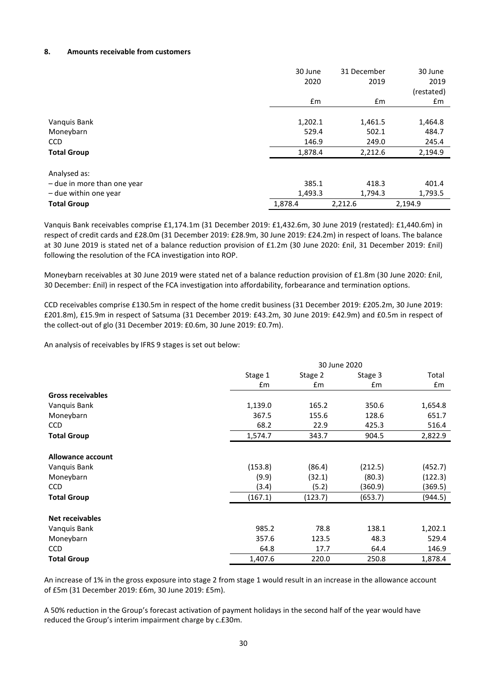## **8. Amounts receivable from customers**

|                             | 30 June | 31 December | 30 June    |
|-----------------------------|---------|-------------|------------|
|                             | 2020    | 2019        | 2019       |
|                             |         |             | (restated) |
|                             | Em      | £m          | £m         |
|                             |         |             |            |
| Vanquis Bank                | 1,202.1 | 1,461.5     | 1,464.8    |
| Moneybarn                   | 529.4   | 502.1       | 484.7      |
| <b>CCD</b>                  | 146.9   | 249.0       | 245.4      |
| <b>Total Group</b>          | 1,878.4 | 2,212.6     | 2,194.9    |
| Analysed as:                |         |             |            |
| - due in more than one year | 385.1   | 418.3       | 401.4      |
|                             | 1,493.3 | 1,794.3     |            |
| - due within one year       |         |             | 1,793.5    |
| <b>Total Group</b>          | 1,878.4 | 2,212.6     | 2,194.9    |

Vanquis Bank receivables comprise £1,174.1m (31 December 2019: £1,432.6m, 30 June 2019 (restated): £1,440.6m) in respect of credit cards and £28.0m (31 December 2019: £28.9m, 30 June 2019: £24.2m) in respect of loans. The balance at 30 June 2019 is stated net of a balance reduction provision of £1.2m (30 June 2020: £nil, 31 December 2019: £nil) following the resolution of the FCA investigation into ROP.

Moneybarn receivables at 30 June 2019 were stated net of a balance reduction provision of £1.8m (30 June 2020: £nil, 30 December: £nil) in respect of the FCA investigation into affordability, forbearance and termination options.

CCD receivables comprise £130.5m in respect of the home credit business (31 December 2019: £205.2m, 30 June 2019: £201.8m), £15.9m in respect of Satsuma (31 December 2019: £43.2m, 30 June 2019: £42.9m) and £0.5m in respect of the collect-out of glo (31 December 2019: £0.6m, 30 June 2019: £0.7m).

An analysis of receivables by IFRS 9 stages is set out below:

|                          |               | 30 June 2020       |               |         |  |
|--------------------------|---------------|--------------------|---------------|---------|--|
|                          | Stage 1       | Stage 2<br>Stage 3 |               | Total   |  |
|                          | $\mathsf{fm}$ | £m                 | $\mathsf{fm}$ | £m      |  |
| <b>Gross receivables</b> |               |                    |               |         |  |
| Vanquis Bank             | 1,139.0       | 165.2              | 350.6         | 1,654.8 |  |
| Moneybarn                | 367.5         | 155.6              | 128.6         | 651.7   |  |
| <b>CCD</b>               | 68.2          | 22.9               | 425.3         | 516.4   |  |
| <b>Total Group</b>       | 1,574.7       | 343.7              | 904.5         | 2,822.9 |  |
| <b>Allowance account</b> |               |                    |               |         |  |
| Vanguis Bank             | (153.8)       | (86.4)             | (212.5)       | (452.7) |  |
| Moneybarn                | (9.9)         | (32.1)             | (80.3)        | (122.3) |  |
| <b>CCD</b>               | (3.4)         | (5.2)              | (360.9)       | (369.5) |  |
| <b>Total Group</b>       | (167.1)       | (123.7)            | (653.7)       | (944.5) |  |
| <b>Net receivables</b>   |               |                    |               |         |  |
| Vanquis Bank             | 985.2         | 78.8               | 138.1         | 1,202.1 |  |
| Moneybarn                | 357.6         | 123.5              | 48.3          | 529.4   |  |
| <b>CCD</b>               | 64.8          | 17.7               | 64.4          | 146.9   |  |
| <b>Total Group</b>       | 1,407.6       | 220.0              | 250.8         | 1,878.4 |  |

An increase of 1% in the gross exposure into stage 2 from stage 1 would result in an increase in the allowance account of £5m (31 December 2019: £6m, 30 June 2019: £5m).

A 50% reduction in the Group's forecast activation of payment holidays in the second half of the year would have reduced the Group's interim impairment charge by c.£30m.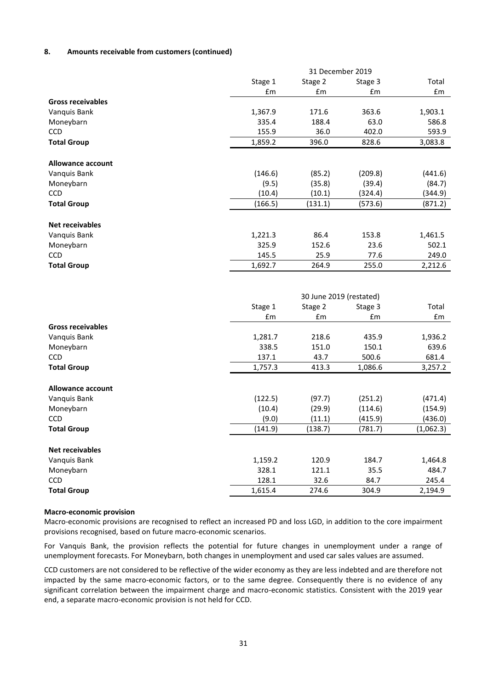# **8. Amounts receivable from customers (continued)**

|                           |                  | 31 December 2019        |               |                  |
|---------------------------|------------------|-------------------------|---------------|------------------|
|                           | Stage 1          | Stage 2                 | Stage 3       | Total            |
|                           | £m               | Em                      | £m            | £m               |
| <b>Gross receivables</b>  |                  |                         |               |                  |
| Vanguis Bank              | 1,367.9          | 171.6                   | 363.6         | 1,903.1          |
| Moneybarn                 | 335.4            | 188.4                   | 63.0          | 586.8            |
| CCD                       | 155.9            | 36.0                    | 402.0         | 593.9            |
| <b>Total Group</b>        | 1,859.2          | 396.0                   | 828.6         | 3,083.8          |
|                           |                  |                         |               |                  |
| <b>Allowance account</b>  |                  |                         |               |                  |
| Vanquis Bank              | (146.6)          | (85.2)                  | (209.8)       | (441.6)          |
| Moneybarn                 | (9.5)            | (35.8)                  | (39.4)        | (84.7)           |
| <b>CCD</b>                | (10.4)           | (10.1)                  | (324.4)       | (344.9)          |
| <b>Total Group</b>        | (166.5)          | (131.1)                 | (573.6)       | (871.2)          |
|                           |                  |                         |               |                  |
| <b>Net receivables</b>    |                  |                         |               |                  |
| Vanquis Bank              | 1,221.3          | 86.4                    | 153.8         | 1,461.5          |
| Moneybarn                 | 325.9            | 152.6                   | 23.6          | 502.1            |
| <b>CCD</b>                | 145.5            | 25.9                    | 77.6          | 249.0            |
| <b>Total Group</b>        | 1,692.7          | 264.9                   | 255.0         | 2,212.6          |
|                           |                  |                         |               |                  |
|                           |                  |                         |               |                  |
|                           |                  | 30 June 2019 (restated) |               |                  |
|                           | Stage 1          | Stage 2                 | Stage 3       | Total            |
|                           | $\mathsf{fm}$    | £m                      | £m            | £m               |
| <b>Gross receivables</b>  |                  |                         |               |                  |
| Vanquis Bank              | 1,281.7          | 218.6                   | 435.9         | 1,936.2          |
| Moneybarn                 | 338.5            | 151.0                   | 150.1         | 639.6            |
| CCD                       | 137.1            | 43.7                    | 500.6         | 681.4            |
| <b>Total Group</b>        | 1,757.3          | 413.3                   | 1,086.6       | 3,257.2          |
|                           |                  |                         |               |                  |
| <b>Allowance account</b>  |                  |                         |               |                  |
| Vanquis Bank              | (122.5)          | (97.7)                  | (251.2)       | (471.4)          |
| Moneybarn                 | (10.4)           | (29.9)                  | (114.6)       | (154.9)          |
| <b>CCD</b>                | (9.0)            | (11.1)                  | (415.9)       | (436.0)          |
| <b>Total Group</b>        | (141.9)          | (138.7)                 | (781.7)       | (1,062.3)        |
|                           |                  |                         |               |                  |
| <b>Net receivables</b>    |                  |                         |               |                  |
| Vanquis Bank              | 1,159.2          | 120.9                   | 184.7         | 1,464.8          |
|                           |                  |                         |               |                  |
| Moneybarn                 | 328.1            | 121.1                   | 35.5          | 484.7            |
| CCD<br><b>Total Group</b> | 128.1<br>1,615.4 | 32.6<br>274.6           | 84.7<br>304.9 | 245.4<br>2,194.9 |

#### **Macro-economic provision**

Macro-economic provisions are recognised to reflect an increased PD and loss LGD, in addition to the core impairment provisions recognised, based on future macro-economic scenarios.

For Vanquis Bank, the provision reflects the potential for future changes in unemployment under a range of unemployment forecasts. For Moneybarn, both changes in unemployment and used car sales values are assumed.

CCD customers are not considered to be reflective of the wider economy as they are less indebted and are therefore not impacted by the same macro-economic factors, or to the same degree. Consequently there is no evidence of any significant correlation between the impairment charge and macro-economic statistics. Consistent with the 2019 year end, a separate macro-economic provision is not held for CCD.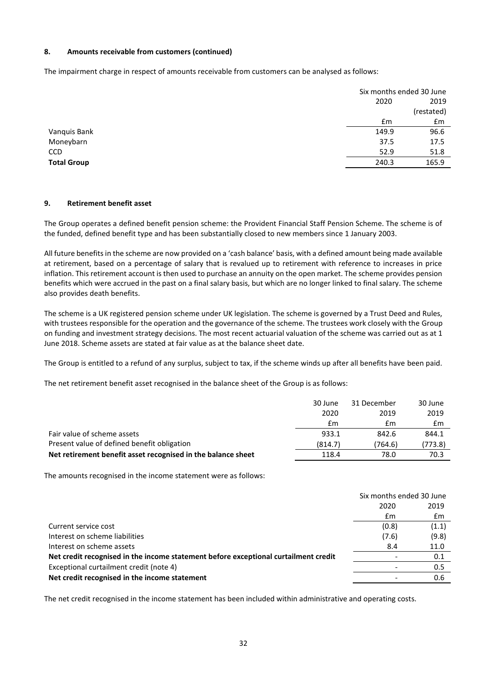# **8. Amounts receivable from customers (continued)**

The impairment charge in respect of amounts receivable from customers can be analysed as follows:

|                    | Six months ended 30 June |
|--------------------|--------------------------|
|                    | 2019<br>2020             |
|                    | (restated)               |
|                    | £m<br>£m                 |
| Vanquis Bank       | 149.9<br>96.6            |
| Moneybarn          | 37.5<br>17.5             |
| <b>CCD</b>         | 52.9<br>51.8             |
| <b>Total Group</b> | 165.9<br>240.3           |
|                    |                          |

## **9. Retirement benefit asset**

The Group operates a defined benefit pension scheme: the Provident Financial Staff Pension Scheme. The scheme is of the funded, defined benefit type and has been substantially closed to new members since 1 January 2003.

All future benefits in the scheme are now provided on a 'cash balance' basis, with a defined amount being made available at retirement, based on a percentage of salary that is revalued up to retirement with reference to increases in price inflation. This retirement account is then used to purchase an annuity on the open market. The scheme provides pension benefits which were accrued in the past on a final salary basis, but which are no longer linked to final salary. The scheme also provides death benefits.

The scheme is a UK registered pension scheme under UK legislation. The scheme is governed by a Trust Deed and Rules, with trustees responsible for the operation and the governance of the scheme. The trustees work closely with the Group on funding and investment strategy decisions. The most recent actuarial valuation of the scheme was carried out as at 1 June 2018. Scheme assets are stated at fair value as at the balance sheet date.

The Group is entitled to a refund of any surplus, subject to tax, if the scheme winds up after all benefits have been paid.

The net retirement benefit asset recognised in the balance sheet of the Group is as follows:

|                                                              | 30 June | 31 December | 30 June |
|--------------------------------------------------------------|---------|-------------|---------|
|                                                              | 2020    | 2019        | 2019    |
|                                                              | £m      | £m          | £m      |
| Fair value of scheme assets                                  | 933.1   | 842.6       | 844.1   |
| Present value of defined benefit obligation                  | (814.7) | (764.6)     | (773.8) |
| Net retirement benefit asset recognised in the balance sheet | 118.4   | 78.0        | 70.3    |

The amounts recognised in the income statement were as follows:

|                                                                                     | Six months ended 30 June |                |
|-------------------------------------------------------------------------------------|--------------------------|----------------|
|                                                                                     | 2020                     | 2019           |
|                                                                                     | £m                       | $\mathbf{f}$ m |
| Current service cost                                                                | (0.8)                    | (1.1)          |
| Interest on scheme liabilities                                                      | (7.6)                    | (9.8)          |
| Interest on scheme assets                                                           | 8.4                      | 11.0           |
| Net credit recognised in the income statement before exceptional curtailment credit |                          | 0.1            |
| Exceptional curtailment credit (note 4)                                             |                          | 0.5            |
| Net credit recognised in the income statement                                       |                          | 0.6            |
|                                                                                     |                          |                |

The net credit recognised in the income statement has been included within administrative and operating costs.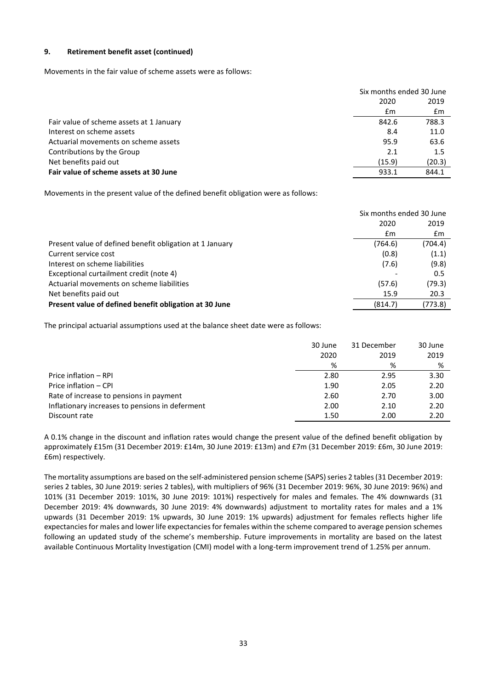# **9. Retirement benefit asset (continued)**

Movements in the fair value of scheme assets were as follows:

|                                          | Six months ended 30 June |        |
|------------------------------------------|--------------------------|--------|
|                                          | 2020                     | 2019   |
|                                          | £m                       | £m     |
| Fair value of scheme assets at 1 January | 842.6                    | 788.3  |
| Interest on scheme assets                | 8.4                      | 11.0   |
| Actuarial movements on scheme assets     | 95.9                     | 63.6   |
| Contributions by the Group               | 2.1                      | 1.5    |
| Net benefits paid out                    | (15.9)                   | (20.3) |
| Fair value of scheme assets at 30 June   | 933.1                    | 844.1  |
|                                          |                          |        |

Movements in the present value of the defined benefit obligation were as follows:

|                                                          | Six months ended 30 June |         |
|----------------------------------------------------------|--------------------------|---------|
|                                                          | 2020                     | 2019    |
|                                                          | £m                       | £m      |
| Present value of defined benefit obligation at 1 January | (764.6)                  | (704.4) |
| Current service cost                                     | (0.8)                    | (1.1)   |
| Interest on scheme liabilities                           | (7.6)                    | (9.8)   |
| Exceptional curtailment credit (note 4)                  |                          | 0.5     |
| Actuarial movements on scheme liabilities                | (57.6)                   | (79.3)  |
| Net benefits paid out                                    | 15.9                     | 20.3    |
| Present value of defined benefit obligation at 30 June   | (814.7)                  | (773.8) |

The principal actuarial assumptions used at the balance sheet date were as follows:

|                                                 | 30 June<br>2020 | 31 December<br>2019 | 30 June<br>2019 |
|-------------------------------------------------|-----------------|---------------------|-----------------|
|                                                 | %               | %                   | %               |
| Price inflation - RPI                           | 2.80            | 2.95                | 3.30            |
| Price inflation - CPI                           | 1.90            | 2.05                | 2.20            |
| Rate of increase to pensions in payment         | 2.60            | 2.70                | 3.00            |
| Inflationary increases to pensions in deferment | 2.00            | 2.10                | 2.20            |
| Discount rate                                   | 1.50            | 2.00                | 2.20            |

A 0.1% change in the discount and inflation rates would change the present value of the defined benefit obligation by approximately £15m (31 December 2019: £14m, 30 June 2019: £13m) and £7m (31 December 2019: £6m, 30 June 2019: £6m) respectively.

The mortality assumptions are based on the self-administered pension scheme (SAPS) series 2 tables (31 December 2019: series 2 tables, 30 June 2019: series 2 tables), with multipliers of 96% (31 December 2019: 96%, 30 June 2019: 96%) and 101% (31 December 2019: 101%, 30 June 2019: 101%) respectively for males and females. The 4% downwards (31 December 2019: 4% downwards, 30 June 2019: 4% downwards) adjustment to mortality rates for males and a 1% upwards (31 December 2019: 1% upwards, 30 June 2019: 1% upwards) adjustment for females reflects higher life expectancies for males and lower life expectancies for females within the scheme compared to average pension schemes following an updated study of the scheme's membership. Future improvements in mortality are based on the latest available Continuous Mortality Investigation (CMI) model with a long-term improvement trend of 1.25% per annum.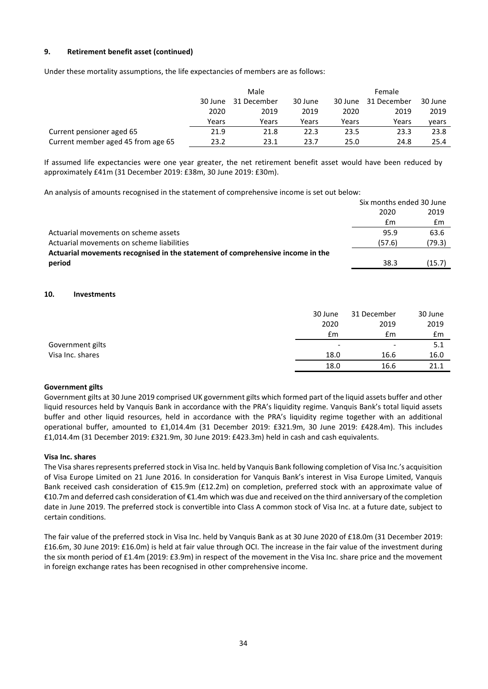# **9. Retirement benefit asset (continued)**

Under these mortality assumptions, the life expectancies of members are as follows:

|                                    | Male                              |       |       | <b>Female</b> |         |             |         |
|------------------------------------|-----------------------------------|-------|-------|---------------|---------|-------------|---------|
|                                    | 31 December<br>30 June<br>30 June |       |       |               | 30 June | 31 December | 30 June |
|                                    | 2020                              | 2019  | 2019  | 2020          | 2019    | 2019        |         |
|                                    | Years                             | Years | Years | Years         | Years   | vears       |         |
| Current pensioner aged 65          | 21.9                              | 21.8  | 22.3  | 23.5          | 23.3    | 23.8        |         |
| Current member aged 45 from age 65 | 23.2                              | 23.1  | 23.7  | 25.0          | 24.8    | 25.4        |         |

If assumed life expectancies were one year greater, the net retirement benefit asset would have been reduced by approximately £41m (31 December 2019: £38m, 30 June 2019: £30m).

An analysis of amounts recognised in the statement of comprehensive income is set out below:

|                                                                                | Six months ended 30 June |        |
|--------------------------------------------------------------------------------|--------------------------|--------|
|                                                                                | 2020                     | 2019   |
|                                                                                | £m                       | £m     |
| Actuarial movements on scheme assets                                           | 95.9                     | 63.6   |
| Actuarial movements on scheme liabilities                                      | (57.6)                   | (79.3) |
| Actuarial movements recognised in the statement of comprehensive income in the |                          |        |
| period                                                                         | 38.3                     | (15.7) |

## **10. Investments**

|                  | 30 June                  | 31 December              | 30 June |
|------------------|--------------------------|--------------------------|---------|
|                  | 2020                     | 2019                     | 2019    |
|                  | £m                       | £m                       | £m      |
| Government gilts | $\overline{\phantom{0}}$ | $\overline{\phantom{a}}$ | 5.1     |
| Visa Inc. shares | 18.0                     | 16.6                     | 16.0    |
|                  | 18.0                     | 16.6                     | 21.1    |

# **Government gilts**

Government gilts at 30 June 2019 comprised UK government gilts which formed part of the liquid assets buffer and other liquid resources held by Vanquis Bank in accordance with the PRA's liquidity regime. Vanquis Bank's total liquid assets buffer and other liquid resources, held in accordance with the PRA's liquidity regime together with an additional operational buffer, amounted to £1,014.4m (31 December 2019: £321.9m, 30 June 2019: £428.4m). This includes £1,014.4m (31 December 2019: £321.9m, 30 June 2019: £423.3m) held in cash and cash equivalents.

#### **Visa Inc. shares**

The Visa shares represents preferred stock in Visa Inc. held by Vanquis Bank following completion of Visa Inc.'s acquisition of Visa Europe Limited on 21 June 2016. In consideration for Vanquis Bank's interest in Visa Europe Limited, Vanquis Bank received cash consideration of €15.9m (£12.2m) on completion, preferred stock with an approximate value of €10.7m and deferred cash consideration of €1.4m which was due and received on the third anniversary of the completion date in June 2019. The preferred stock is convertible into Class A common stock of Visa Inc. at a future date, subject to certain conditions.

The fair value of the preferred stock in Visa Inc. held by Vanquis Bank as at 30 June 2020 of £18.0m (31 December 2019: £16.6m, 30 June 2019: £16.0m) is held at fair value through OCI. The increase in the fair value of the investment during the six month period of £1.4m (2019: £3.9m) in respect of the movement in the Visa Inc. share price and the movement in foreign exchange rates has been recognised in other comprehensive income.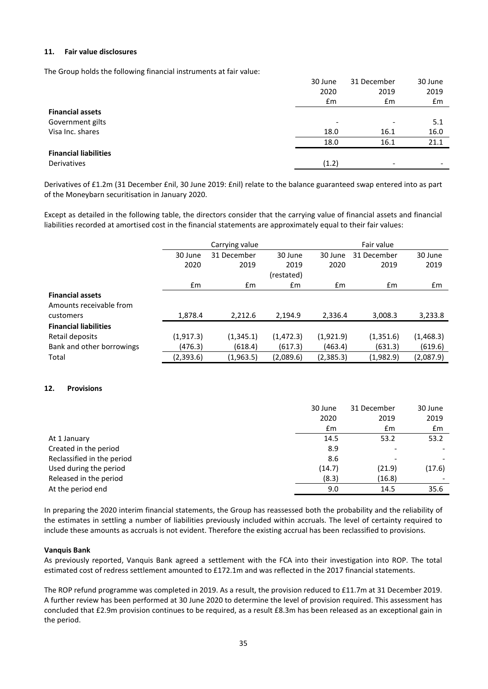## **11. Fair value disclosures**

The Group holds the following financial instruments at fair value:

|                              | 30 June | 31 December              | 30 June                  |
|------------------------------|---------|--------------------------|--------------------------|
|                              | 2020    | 2019                     | 2019                     |
|                              | Em      | £m                       | Em                       |
| <b>Financial assets</b>      |         |                          |                          |
| Government gilts             |         | $\overline{\phantom{0}}$ | 5.1                      |
| Visa Inc. shares             | 18.0    | 16.1                     | 16.0                     |
|                              | 18.0    | 16.1                     | 21.1                     |
| <b>Financial liabilities</b> |         |                          |                          |
| Derivatives                  | (1.2)   | $\overline{\phantom{0}}$ | $\overline{\phantom{a}}$ |

Derivatives of £1.2m (31 December £nil, 30 June 2019: £nil) relate to the balance guaranteed swap entered into as part of the Moneybarn securitisation in January 2020.

Except as detailed in the following table, the directors consider that the carrying value of financial assets and financial liabilities recorded at amortised cost in the financial statements are approximately equal to their fair values:

|                              |            | Carrying value |            |               | Fair value    |               |
|------------------------------|------------|----------------|------------|---------------|---------------|---------------|
|                              | 30 June    | 31 December    | 30 June    | 30 June       | 31 December   | 30 June       |
|                              | 2020       | 2019           | 2019       | 2020          | 2019          | 2019          |
|                              |            |                | (restated) |               |               |               |
|                              | Em         | £m             | £m         | $\mathsf{fm}$ | $\mathsf{fm}$ | $\mathsf{fm}$ |
| <b>Financial assets</b>      |            |                |            |               |               |               |
| Amounts receivable from      |            |                |            |               |               |               |
| customers                    | 1,878.4    | 2,212.6        | 2.194.9    | 2,336.4       | 3,008.3       | 3,233.8       |
| <b>Financial liabilities</b> |            |                |            |               |               |               |
| Retail deposits              | (1, 917.3) | (1,345.1)      | (1, 472.3) | (1,921.9)     | (1,351.6)     | (1,468.3)     |
| Bank and other borrowings    | (476.3)    | (618.4)        | (617.3)    | (463.4)       | (631.3)       | (619.6)       |
| Total                        | (2,393.6)  | (1,963.5)      | (2,089.6)  | (2,385.3)     | (1,982.9)     | (2,087.9)     |

# **12. Provisions**

|                            | 30 June | 31 December | 30 June |
|----------------------------|---------|-------------|---------|
|                            | 2020    | 2019        | 2019    |
|                            | Em      | £m          | Em      |
| At 1 January               | 14.5    | 53.2        | 53.2    |
| Created in the period      | 8.9     |             |         |
| Reclassified in the period | 8.6     |             |         |
| Used during the period     | (14.7)  | (21.9)      | (17.6)  |
| Released in the period     | (8.3)   | (16.8)      |         |
| At the period end          | 9.0     | 14.5        | 35.6    |

In preparing the 2020 interim financial statements, the Group has reassessed both the probability and the reliability of the estimates in settling a number of liabilities previously included within accruals. The level of certainty required to include these amounts as accruals is not evident. Therefore the existing accrual has been reclassified to provisions.

#### **Vanquis Bank**

As previously reported, Vanquis Bank agreed a settlement with the FCA into their investigation into ROP. The total estimated cost of redress settlement amounted to £172.1m and was reflected in the 2017 financial statements.

The ROP refund programme was completed in 2019. As a result, the provision reduced to £11.7m at 31 December 2019. A further review has been performed at 30 June 2020 to determine the level of provision required. This assessment has concluded that £2.9m provision continues to be required, as a result £8.3m has been released as an exceptional gain in the period.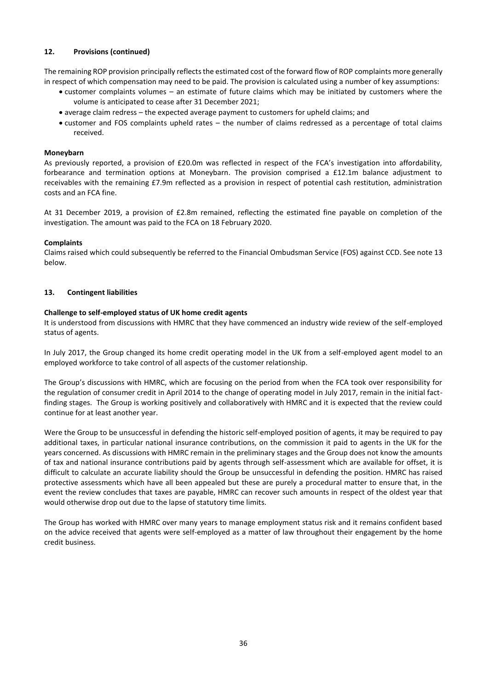# **12. Provisions (continued)**

The remaining ROP provision principally reflects the estimated cost of the forward flow of ROP complaints more generally in respect of which compensation may need to be paid. The provision is calculated using a number of key assumptions:

- customer complaints volumes an estimate of future claims which may be initiated by customers where the volume is anticipated to cease after 31 December 2021;
- average claim redress the expected average payment to customers for upheld claims; and
- customer and FOS complaints upheld rates the number of claims redressed as a percentage of total claims received.

# **Moneybarn**

As previously reported, a provision of £20.0m was reflected in respect of the FCA's investigation into affordability, forbearance and termination options at Moneybarn. The provision comprised a £12.1m balance adjustment to receivables with the remaining £7.9m reflected as a provision in respect of potential cash restitution, administration costs and an FCA fine.

At 31 December 2019, a provision of £2.8m remained, reflecting the estimated fine payable on completion of the investigation. The amount was paid to the FCA on 18 February 2020.

## **Complaints**

Claims raised which could subsequently be referred to the Financial Ombudsman Service (FOS) against CCD. See note 13 below.

## **13. Contingent liabilities**

## **Challenge to self-employed status of UK home credit agents**

It is understood from discussions with HMRC that they have commenced an industry wide review of the self-employed status of agents.

In July 2017, the Group changed its home credit operating model in the UK from a self-employed agent model to an employed workforce to take control of all aspects of the customer relationship.

The Group's discussions with HMRC, which are focusing on the period from when the FCA took over responsibility for the regulation of consumer credit in April 2014 to the change of operating model in July 2017, remain in the initial factfinding stages. The Group is working positively and collaboratively with HMRC and it is expected that the review could continue for at least another year.

Were the Group to be unsuccessful in defending the historic self-employed position of agents, it may be required to pay additional taxes, in particular national insurance contributions, on the commission it paid to agents in the UK for the years concerned. As discussions with HMRC remain in the preliminary stages and the Group does not know the amounts of tax and national insurance contributions paid by agents through self-assessment which are available for offset, it is difficult to calculate an accurate liability should the Group be unsuccessful in defending the position. HMRC has raised protective assessments which have all been appealed but these are purely a procedural matter to ensure that, in the event the review concludes that taxes are payable, HMRC can recover such amounts in respect of the oldest year that would otherwise drop out due to the lapse of statutory time limits.

The Group has worked with HMRC over many years to manage employment status risk and it remains confident based on the advice received that agents were self-employed as a matter of law throughout their engagement by the home credit business.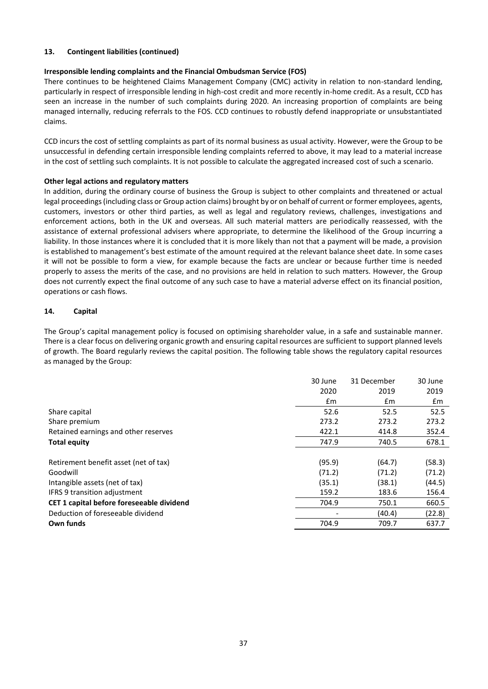# **13. Contingent liabilities (continued)**

# **Irresponsible lending complaints and the Financial Ombudsman Service (FOS)**

There continues to be heightened Claims Management Company (CMC) activity in relation to non-standard lending, particularly in respect of irresponsible lending in high-cost credit and more recently in-home credit. As a result, CCD has seen an increase in the number of such complaints during 2020. An increasing proportion of complaints are being managed internally, reducing referrals to the FOS. CCD continues to robustly defend inappropriate or unsubstantiated claims.

CCD incurs the cost of settling complaints as part of its normal business as usual activity. However, were the Group to be unsuccessful in defending certain irresponsible lending complaints referred to above, it may lead to a material increase in the cost of settling such complaints. It is not possible to calculate the aggregated increased cost of such a scenario.

# **Other legal actions and regulatory matters**

In addition, during the ordinary course of business the Group is subject to other complaints and threatened or actual legal proceedings (including class or Group action claims) brought by or on behalf of current or former employees, agents, customers, investors or other third parties, as well as legal and regulatory reviews, challenges, investigations and enforcement actions, both in the UK and overseas. All such material matters are periodically reassessed, with the assistance of external professional advisers where appropriate, to determine the likelihood of the Group incurring a liability. In those instances where it is concluded that it is more likely than not that a payment will be made, a provision is established to management's best estimate of the amount required at the relevant balance sheet date. In some cases it will not be possible to form a view, for example because the facts are unclear or because further time is needed properly to assess the merits of the case, and no provisions are held in relation to such matters. However, the Group does not currently expect the final outcome of any such case to have a material adverse effect on its financial position, operations or cash flows.

# **14. Capital**

The Group's capital management policy is focused on optimising shareholder value, in a safe and sustainable manner. There is a clear focus on delivering organic growth and ensuring capital resources are sufficient to support planned levels of growth. The Board regularly reviews the capital position. The following table shows the regulatory capital resources as managed by the Group:

| 30 June | 31 December | 30 June |
|---------|-------------|---------|
| 2020    | 2019        | 2019    |
| £m      | £m          | £m      |
| 52.6    | 52.5        | 52.5    |
| 273.2   | 273.2       | 273.2   |
| 422.1   | 414.8       | 352.4   |
| 747.9   | 740.5       | 678.1   |
|         |             |         |
| (95.9)  | (64.7)      | (58.3)  |
| (71.2)  | (71.2)      | (71.2)  |
| (35.1)  | (38.1)      | (44.5)  |
| 159.2   | 183.6       | 156.4   |
| 704.9   | 750.1       | 660.5   |
|         | (40.4)      | (22.8)  |
| 704.9   | 709.7       | 637.7   |
|         |             |         |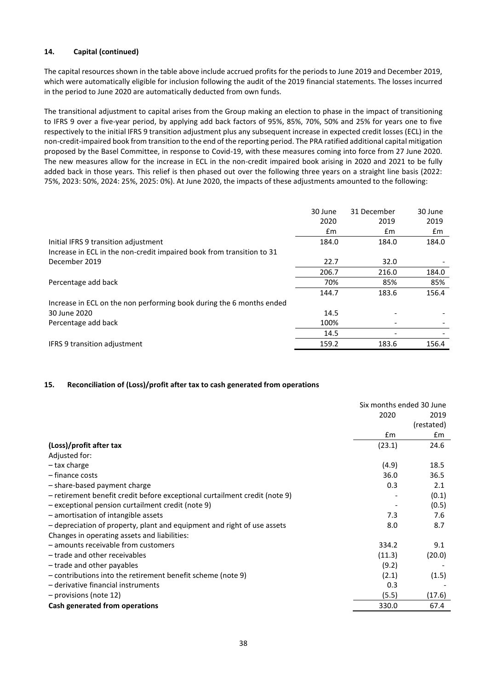# **14. Capital (continued)**

The capital resources shown in the table above include accrued profits for the periods to June 2019 and December 2019, which were automatically eligible for inclusion following the audit of the 2019 financial statements. The losses incurred in the period to June 2020 are automatically deducted from own funds.

The transitional adjustment to capital arises from the Group making an election to phase in the impact of transitioning to IFRS 9 over a five-year period, by applying add back factors of 95%, 85%, 70%, 50% and 25% for years one to five respectively to the initial IFRS 9 transition adjustment plus any subsequent increase in expected credit losses (ECL) in the non-credit-impaired book from transition to the end of the reporting period. The PRA ratified additional capital mitigation proposed by the Basel Committee, in response to Covid-19, with these measures coming into force from 27 June 2020. The new measures allow for the increase in ECL in the non-credit impaired book arising in 2020 and 2021 to be fully added back in those years. This relief is then phased out over the following three years on a straight line basis (2022: 75%, 2023: 50%, 2024: 25%, 2025: 0%). At June 2020, the impacts of these adjustments amounted to the following:

|                                                                       | 30 June | 31 December | 30 June |
|-----------------------------------------------------------------------|---------|-------------|---------|
|                                                                       | 2020    | 2019        | 2019    |
|                                                                       | £m      | £m          | £m      |
| Initial IFRS 9 transition adjustment                                  | 184.0   | 184.0       | 184.0   |
| Increase in ECL in the non-credit impaired book from transition to 31 |         |             |         |
| December 2019                                                         | 22.7    | 32.0        |         |
|                                                                       | 206.7   | 216.0       | 184.0   |
| Percentage add back                                                   | 70%     | 85%         | 85%     |
|                                                                       | 144.7   | 183.6       | 156.4   |
| Increase in ECL on the non performing book during the 6 months ended  |         |             |         |
| 30 June 2020                                                          | 14.5    |             |         |
| Percentage add back                                                   | 100%    |             |         |
|                                                                       | 14.5    |             |         |
| <b>IFRS 9 transition adjustment</b>                                   | 159.2   | 183.6       | 156.4   |
|                                                                       |         |             |         |

# **15. Reconciliation of (Loss)/profit after tax to cash generated from operations**

|                                                                            | Six months ended 30 June |            |
|----------------------------------------------------------------------------|--------------------------|------------|
|                                                                            | 2020                     | 2019       |
|                                                                            |                          | (restated) |
|                                                                            | $\mathbf{f}$ m           | £m         |
| (Loss)/profit after tax                                                    | (23.1)                   | 24.6       |
| Adjusted for:                                                              |                          |            |
| - tax charge                                                               | (4.9)                    | 18.5       |
| - finance costs                                                            | 36.0                     | 36.5       |
| - share-based payment charge                                               | 0.3                      | 2.1        |
| - retirement benefit credit before exceptional curtailment credit (note 9) |                          | (0.1)      |
| - exceptional pension curtailment credit (note 9)                          |                          | (0.5)      |
| - amortisation of intangible assets                                        | 7.3                      | 7.6        |
| - depreciation of property, plant and equipment and right of use assets    | 8.0                      | 8.7        |
| Changes in operating assets and liabilities:                               |                          |            |
| - amounts receivable from customers                                        | 334.2                    | 9.1        |
| - trade and other receivables                                              | (11.3)                   | (20.0)     |
| - trade and other payables                                                 | (9.2)                    |            |
| - contributions into the retirement benefit scheme (note 9)                | (2.1)                    | (1.5)      |
| - derivative financial instruments                                         | 0.3                      |            |
| - provisions (note 12)                                                     | (5.5)                    | (17.6)     |
| Cash generated from operations                                             | 330.0                    | 67.4       |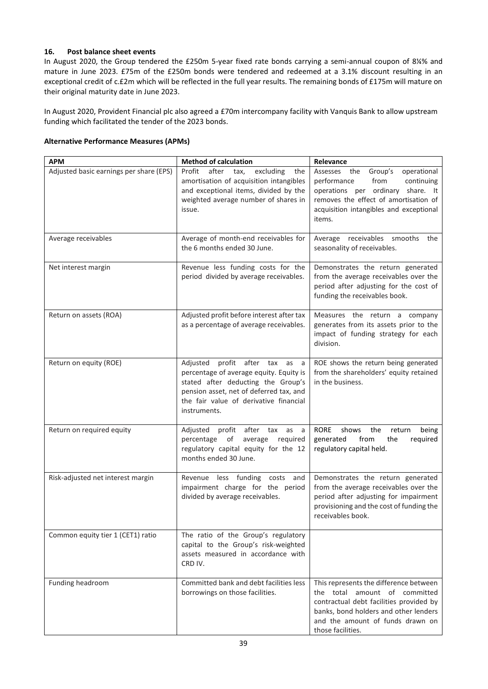# **16. Post balance sheet events**

In August 2020, the Group tendered the £250m 5-year fixed rate bonds carrying a semi-annual coupon of 8¼% and mature in June 2023. £75m of the £250m bonds were tendered and redeemed at a 3.1% discount resulting in an exceptional credit of c.£2m which will be reflected in the full year results. The remaining bonds of £175m will mature on their original maturity date in June 2023.

In August 2020, Provident Financial plc also agreed a £70m intercompany facility with Vanquis Bank to allow upstream funding which facilitated the tender of the 2023 bonds.

|  | <b>Alternative Performance Measures (APMs)</b> |  |  |
|--|------------------------------------------------|--|--|
|--|------------------------------------------------|--|--|

| <b>APM</b>                              | <b>Method of calculation</b>                                                                                                                                                                                            | Relevance                                                                                                                                                                                                                  |
|-----------------------------------------|-------------------------------------------------------------------------------------------------------------------------------------------------------------------------------------------------------------------------|----------------------------------------------------------------------------------------------------------------------------------------------------------------------------------------------------------------------------|
| Adjusted basic earnings per share (EPS) | Profit<br>after<br>excluding<br>tax,<br>the<br>amortisation of acquisition intangibles<br>and exceptional items, divided by the<br>weighted average number of shares in<br>issue.                                       | Group's<br>operational<br>Assesses the<br>performance<br>from<br>continuing<br>operations per ordinary share. It<br>removes the effect of amortisation of<br>acquisition intangibles and exceptional<br>items.             |
| Average receivables                     | Average of month-end receivables for<br>the 6 months ended 30 June.                                                                                                                                                     | Average receivables smooths the<br>seasonality of receivables.                                                                                                                                                             |
| Net interest margin                     | Revenue less funding costs for the<br>period divided by average receivables.                                                                                                                                            | Demonstrates the return generated<br>from the average receivables over the<br>period after adjusting for the cost of<br>funding the receivables book.                                                                      |
| Return on assets (ROA)                  | Adjusted profit before interest after tax<br>as a percentage of average receivables.                                                                                                                                    | Measures the return a company<br>generates from its assets prior to the<br>impact of funding strategy for each<br>division.                                                                                                |
| Return on equity (ROE)                  | profit after tax as a<br>Adjusted<br>percentage of average equity. Equity is<br>stated after deducting the Group's<br>pension asset, net of deferred tax, and<br>the fair value of derivative financial<br>instruments. | ROE shows the return being generated<br>from the shareholders' equity retained<br>in the business.                                                                                                                         |
| Return on required equity               | Adjusted profit after tax as<br>a a<br>percentage<br>of<br>average<br>required<br>regulatory capital equity for the 12<br>months ended 30 June.                                                                         | RORE<br>shows<br>the<br>return<br>being<br>generated<br>from<br>the<br>required<br>regulatory capital held.                                                                                                                |
| Risk-adjusted net interest margin       | Revenue less funding<br>costs<br>and<br>impairment charge for the period<br>divided by average receivables.                                                                                                             | Demonstrates the return generated<br>from the average receivables over the<br>period after adjusting for impairment<br>provisioning and the cost of funding the<br>receivables book.                                       |
| Common equity tier 1 (CET1) ratio       | The ratio of the Group's regulatory<br>capital to the Group's risk-weighted<br>assets measured in accordance with<br>CRD IV.                                                                                            |                                                                                                                                                                                                                            |
| Funding headroom                        | Committed bank and debt facilities less<br>borrowings on those facilities.                                                                                                                                              | This represents the difference between<br>amount of committed<br>total<br>the<br>contractual debt facilities provided by<br>banks, bond holders and other lenders<br>and the amount of funds drawn on<br>those facilities. |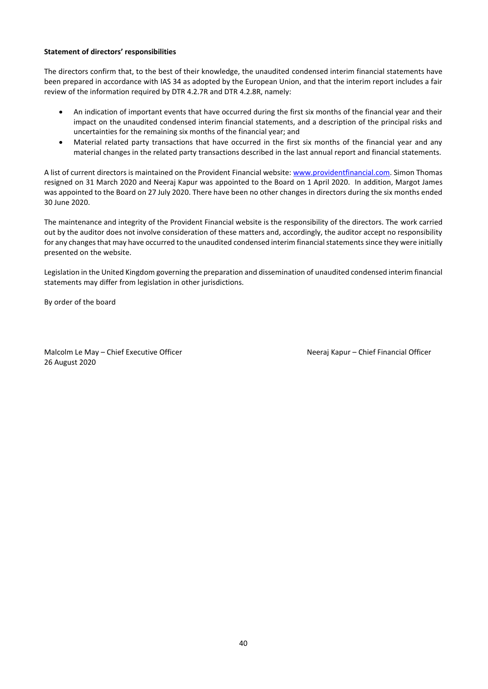## **Statement of directors' responsibilities**

The directors confirm that, to the best of their knowledge, the unaudited condensed interim financial statements have been prepared in accordance with IAS 34 as adopted by the European Union, and that the interim report includes a fair review of the information required by DTR 4.2.7R and DTR 4.2.8R, namely:

- An indication of important events that have occurred during the first six months of the financial year and their impact on the unaudited condensed interim financial statements, and a description of the principal risks and uncertainties for the remaining six months of the financial year; and
- Material related party transactions that have occurred in the first six months of the financial year and any material changes in the related party transactions described in the last annual report and financial statements.

A list of current directors is maintained on the Provident Financial website: [www.providentfinancial.com.](http://www.providentfinancial.com/) Simon Thomas resigned on 31 March 2020 and Neeraj Kapur was appointed to the Board on 1 April 2020. In addition, Margot James was appointed to the Board on 27 July 2020. There have been no other changes in directors during the six months ended 30 June 2020.

The maintenance and integrity of the Provident Financial website is the responsibility of the directors. The work carried out by the auditor does not involve consideration of these matters and, accordingly, the auditor accept no responsibility for any changes that may have occurred to the unaudited condensed interim financial statements since they were initially presented on the website.

Legislation in the United Kingdom governing the preparation and dissemination of unaudited condensed interim financial statements may differ from legislation in other jurisdictions.

By order of the board

Malcolm Le May – Chief Executive Officer Neeraj Kapur – Chief Financial Officer 26 August 2020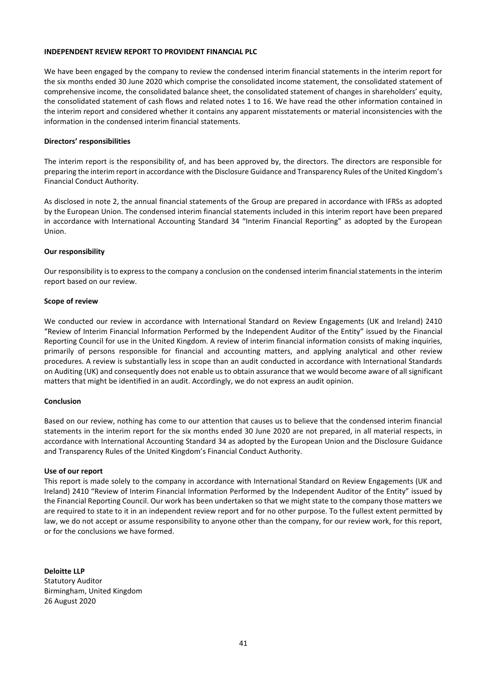## **INDEPENDENT REVIEW REPORT TO PROVIDENT FINANCIAL PLC**

We have been engaged by the company to review the condensed interim financial statements in the interim report for the six months ended 30 June 2020 which comprise the consolidated income statement, the consolidated statement of comprehensive income, the consolidated balance sheet, the consolidated statement of changes in shareholders' equity, the consolidated statement of cash flows and related notes 1 to 16. We have read the other information contained in the interim report and considered whether it contains any apparent misstatements or material inconsistencies with the information in the condensed interim financial statements.

## **Directors' responsibilities**

The interim report is the responsibility of, and has been approved by, the directors. The directors are responsible for preparing the interim report in accordance with the Disclosure Guidance and Transparency Rules of the United Kingdom's Financial Conduct Authority.

As disclosed in note 2, the annual financial statements of the Group are prepared in accordance with IFRSs as adopted by the European Union. The condensed interim financial statements included in this interim report have been prepared in accordance with International Accounting Standard 34 "Interim Financial Reporting" as adopted by the European Union.

## **Our responsibility**

Our responsibility is to express to the company a conclusion on the condensed interim financial statements in the interim report based on our review.

## **Scope of review**

We conducted our review in accordance with International Standard on Review Engagements (UK and Ireland) 2410 "Review of Interim Financial Information Performed by the Independent Auditor of the Entity" issued by the Financial Reporting Council for use in the United Kingdom. A review of interim financial information consists of making inquiries, primarily of persons responsible for financial and accounting matters, and applying analytical and other review procedures. A review is substantially less in scope than an audit conducted in accordance with International Standards on Auditing (UK) and consequently does not enable us to obtain assurance that we would become aware of all significant matters that might be identified in an audit. Accordingly, we do not express an audit opinion.

#### **Conclusion**

Based on our review, nothing has come to our attention that causes us to believe that the condensed interim financial statements in the interim report for the six months ended 30 June 2020 are not prepared, in all material respects, in accordance with International Accounting Standard 34 as adopted by the European Union and the Disclosure Guidance and Transparency Rules of the United Kingdom's Financial Conduct Authority.

#### **Use of our report**

This report is made solely to the company in accordance with International Standard on Review Engagements (UK and Ireland) 2410 "Review of Interim Financial Information Performed by the Independent Auditor of the Entity" issued by the Financial Reporting Council. Our work has been undertaken so that we might state to the company those matters we are required to state to it in an independent review report and for no other purpose. To the fullest extent permitted by law, we do not accept or assume responsibility to anyone other than the company, for our review work, for this report, or for the conclusions we have formed.

**Deloitte LLP** Statutory Auditor Birmingham, United Kingdom 26 August 2020